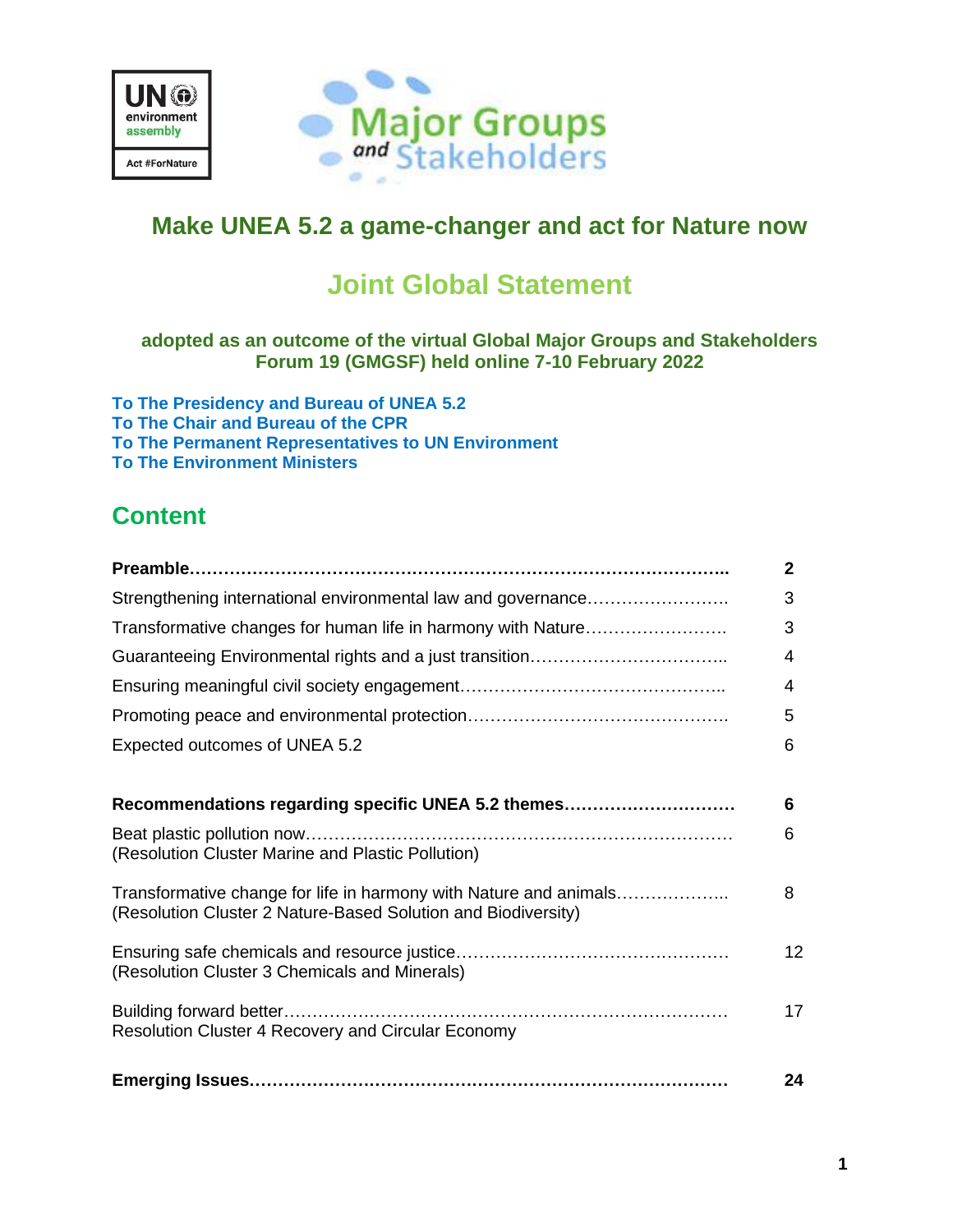



## **Make UNEA 5.2 a game-changer and act for Nature now**

# **Joint Global Statement**

### **adopted as an outcome of the virtual Global Major Groups and Stakeholders Forum 19 (GMGSF) held online 7-10 February 2022**

**To The Presidency and Bureau of UNEA 5.2 To The Chair and Bureau of the CPR To The Permanent Representatives to UN Environment To The Environment Ministers**

## **Content**

|                                                                                                                                    | $\mathbf{2}$ |
|------------------------------------------------------------------------------------------------------------------------------------|--------------|
| Strengthening international environmental law and governance                                                                       | 3            |
| Transformative changes for human life in harmony with Nature                                                                       | 3            |
|                                                                                                                                    | 4            |
|                                                                                                                                    | 4            |
|                                                                                                                                    | 5            |
| Expected outcomes of UNEA 5.2                                                                                                      | 6            |
|                                                                                                                                    |              |
| Recommendations regarding specific UNEA 5.2 themes                                                                                 | 6            |
| (Resolution Cluster Marine and Plastic Pollution)                                                                                  | 6            |
| Transformative change for life in harmony with Nature and animals<br>(Resolution Cluster 2 Nature-Based Solution and Biodiversity) | 8            |
| (Resolution Cluster 3 Chemicals and Minerals)                                                                                      | 12           |
| Resolution Cluster 4 Recovery and Circular Economy                                                                                 | 17           |
|                                                                                                                                    | 24           |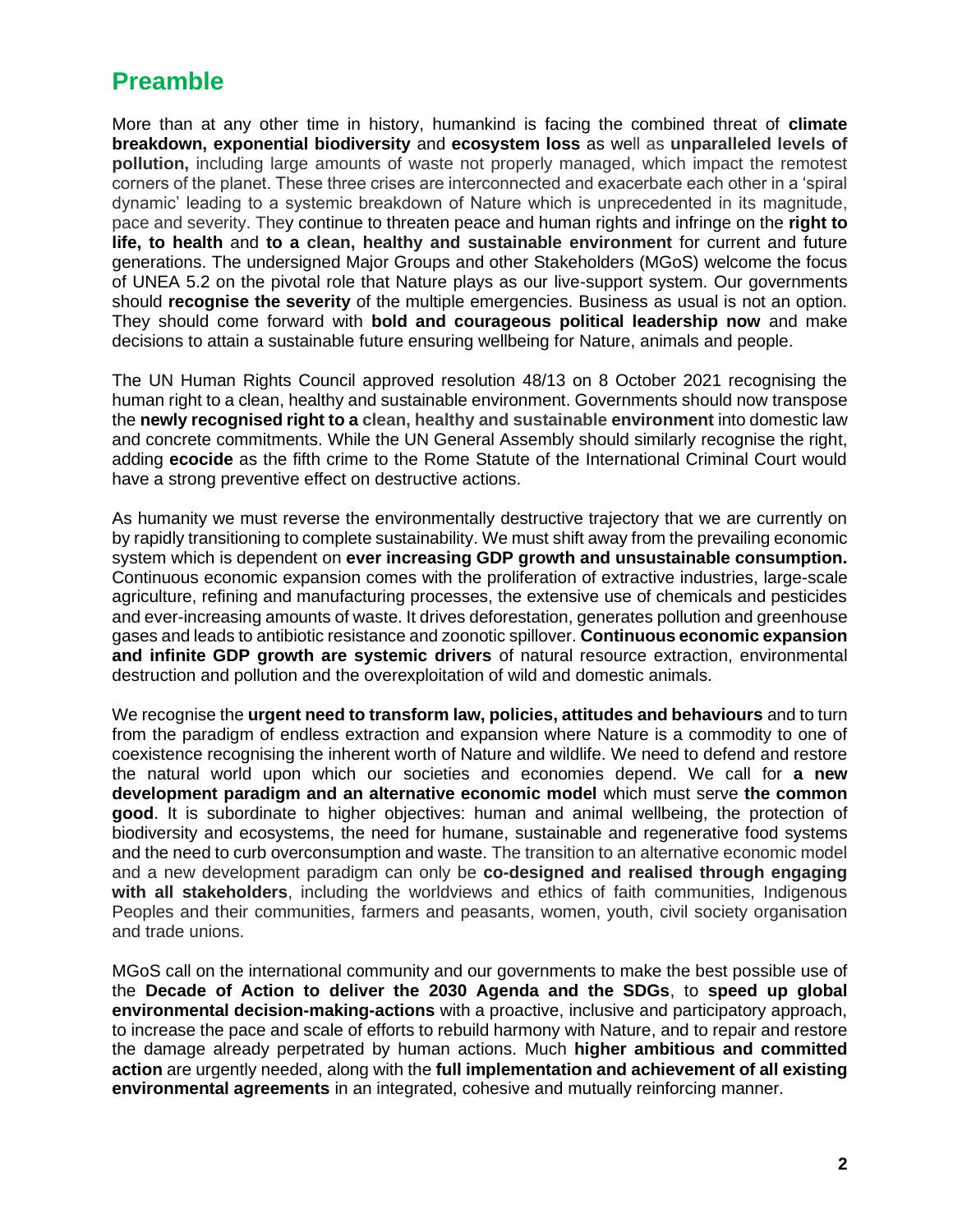## **Preamble**

More than at any other time in history, humankind is facing the combined threat of **climate breakdown, exponential biodiversity** and **ecosystem loss** as well as **[unparalleled](https://www.thesaurus.com/browse/unparalleled) levels of pollution,** including large amounts of waste not properly managed, which impact the remotest corners of the planet. These three crises are interconnected and exacerbate each other in a 'spiral dynamic' leading to a systemic breakdown of Nature which is unprecedented in its magnitude, pace and severity. They continue to threaten peace and human rights and infringe on the **right to life, to health** and **to a clean, healthy and sustainable environment** for current and future generations. The undersigned Major Groups and other Stakeholders (MGoS) welcome the focus of UNEA 5.2 on the pivotal role that Nature plays as our live-support system. Our governments should **recognise the severity** of the multiple emergencies. Business as usual is not an option. They should come forward with **bold and courageous political leadership now** and make decisions to attain a sustainable future ensuring wellbeing for Nature, animals and people.

The UN Human Rights Council approved resolution 48/13 on 8 October 2021 recognising the human right to a clean, healthy and sustainable environment. Governments should now transpose the **newly recognised right to a clean, healthy and sustainable environment** into domestic law and concrete commitments. While the UN General Assembly should similarly recognise the right, adding **ecocide** as the fifth crime to the Rome Statute of the International Criminal Court would have a strong preventive effect on destructive actions.

As humanity we must reverse the environmentally destructive trajectory that we are currently on by rapidly transitioning to complete sustainability. We must shift away from the prevailing economic system which is dependent on **ever increasing GDP growth and unsustainable consumption.** Continuous economic expansion comes with the proliferation of extractive industries, large-scale agriculture, refining and manufacturing processes, the extensive use of chemicals and pesticides and ever-increasing amounts of waste. It drives deforestation, generates pollution and greenhouse gases and leads to antibiotic resistance and zoonotic spillover. **Continuous economic expansion and infinite GDP growth are systemic drivers** of natural resource extraction, environmental destruction and pollution and the overexploitation of wild and domestic animals.

We recognise the **urgent need to transform law, policies, attitudes and behaviours** and to turn from the paradigm of endless extraction and expansion where Nature is a commodity to one of coexistence recognising the inherent worth of Nature and wildlife. We need to defend and restore the natural world upon which our societies and economies depend. We call for **a new development paradigm and an alternative economic model** which must serve **the common good**. It is subordinate to higher objectives: human and animal wellbeing, the protection of biodiversity and ecosystems, the need for humane, sustainable and regenerative food systems and the need to curb overconsumption and waste. The transition to an alternative economic model and a new development paradigm can only be **co-designed and realised through engaging with all stakeholders**, including the worldviews and ethics of faith communities, Indigenous Peoples and their communities, farmers and peasants, women, youth, civil society organisation and trade unions.

MGoS call on the international community and our governments to make the best possible use of the **Decade of Action to deliver the 2030 Agenda and the SDGs**, to **speed up global environmental decision-making-actions** with a proactive, inclusive and participatory approach, to increase the pace and scale of efforts to rebuild harmony with Nature, and to repair and restore the damage already perpetrated by human actions. Much **higher ambitious and committed action** are urgently needed, along with the **full implementation and achievement of all existing environmental agreements** in an integrated, cohesive and mutually reinforcing manner.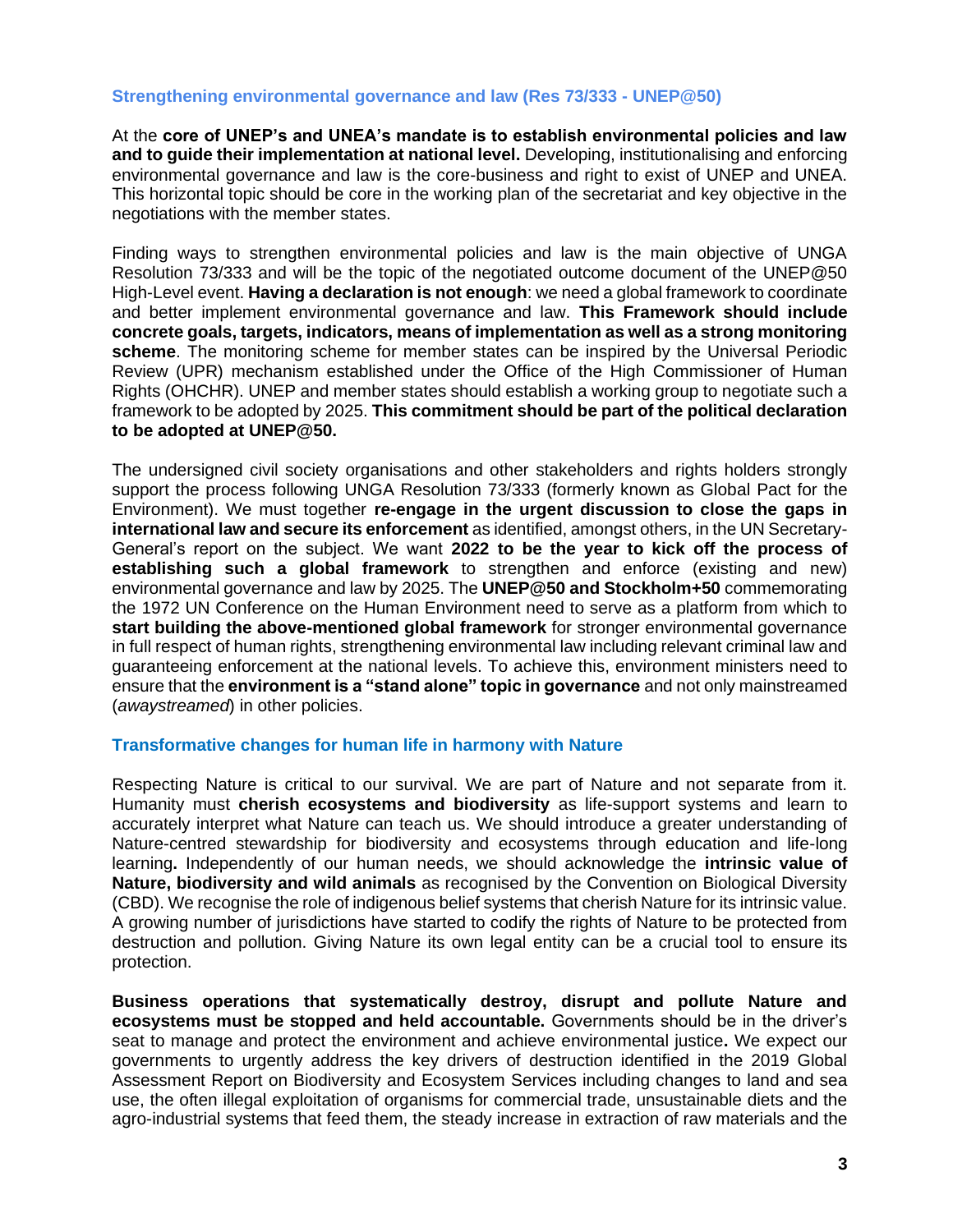#### **Strengthening environmental governance and law (Res 73/333 - UNEP@50)**

At the **core of UNEP's and UNEA's mandate is to establish environmental policies and law and to guide their implementation at national level.** Developing, institutionalising and enforcing environmental governance and law is the core-business and right to exist of UNEP and UNEA. This horizontal topic should be core in the working plan of the secretariat and key objective in the negotiations with the member states.

Finding ways to strengthen environmental policies and law is the main objective of UNGA Resolution 73/333 and will be the topic of the negotiated outcome document of the UNEP@50 High-Level event. **Having a declaration is not enough**: we need a global framework to coordinate and better implement environmental governance and law. **This Framework should include concrete goals, targets, indicators, means of implementation as well as a strong monitoring scheme**. The monitoring scheme for member states can be inspired by the Universal Periodic Review (UPR) mechanism established under the Office of the High Commissioner of Human Rights (OHCHR). UNEP and member states should establish a working group to negotiate such a framework to be adopted by 2025. **This commitment should be part of the political declaration to be adopted at UNEP@50.**

The undersigned civil society organisations and other stakeholders and rights holders strongly support the process following UNGA Resolution 73/333 (formerly known as Global Pact for the Environment). We must together **re-engage in the urgent discussion to close the gaps in international law and secure its enforcement** as identified, amongst others, in the UN Secretary-General's report on the subject. We want **2022 to be the year to kick off the process of establishing such a global framework** to strengthen and enforce (existing and new) environmental governance and law by 2025. The **UNEP@50 and Stockholm+50** commemorating the 1972 UN Conference on the Human Environment need to serve as a platform from which to **start building the above-mentioned global framework** for stronger environmental governance in full respect of human rights, strengthening environmental law including relevant criminal law and guaranteeing enforcement at the national levels. To achieve this, environment ministers need to ensure that the **environment is a "stand alone" topic in governance** and not only mainstreamed (*awaystreamed*) in other policies.

#### **Transformative changes for human life in harmony with Nature**

Respecting Nature is critical to our survival. We are part of Nature and not separate from it. Humanity must **cherish ecosystems and biodiversity** as life-support systems and learn to accurately interpret what Nature can teach us. We should introduce a greater understanding of Nature-centred stewardship for biodiversity and ecosystems through education and life-long learning**.** Independently of our human needs, we should acknowledge the **intrinsic value of Nature, biodiversity and wild animals** as recognised by the Convention on Biological Diversity (CBD). We recognise the role of indigenous belief systems that cherish Nature for its intrinsic value. A growing number of jurisdictions have started to codify the rights of Nature to be protected from destruction and pollution. Giving Nature its own legal entity can be a crucial tool to ensure its protection.

**Business operations that systematically destroy, disrupt and pollute Nature and ecosystems must be stopped and held accountable.** Governments should be in the driver's seat to manage and protect the environment and achieve environmental justice**.** We expect our governments to urgently address the key drivers of destruction identified in the 2019 Global Assessment Report on Biodiversity and Ecosystem Services including changes to land and sea use, the often illegal exploitation of organisms for commercial trade, unsustainable diets and the agro-industrial systems that feed them, the steady increase in extraction of raw materials and the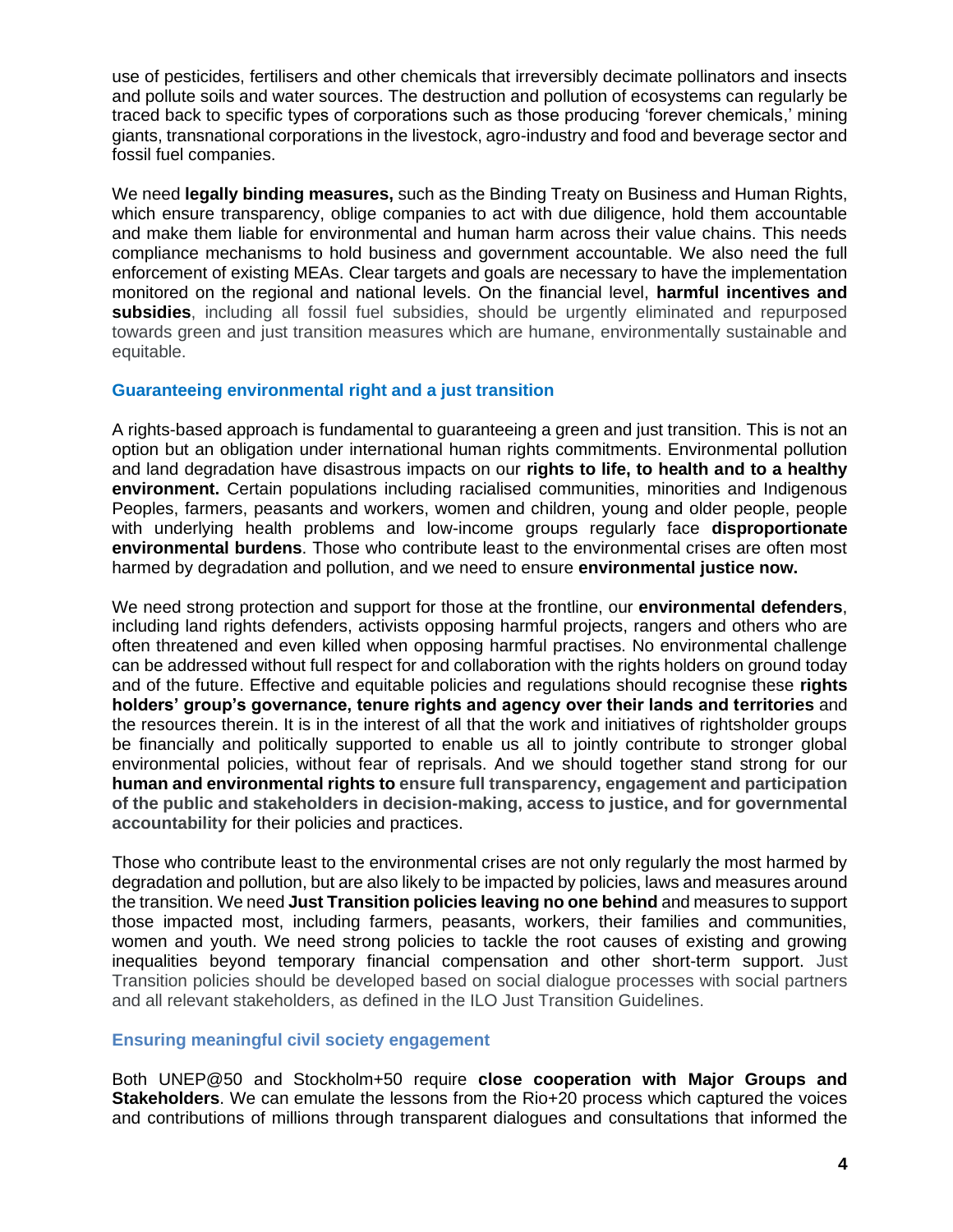use of pesticides, fertilisers and other chemicals that irreversibly decimate pollinators and insects and pollute soils and water sources. The destruction and pollution of ecosystems can regularly be traced back to specific types of corporations such as those producing 'forever chemicals,' mining giants, transnational corporations in the livestock, agro-industry and food and beverage sector and fossil fuel companies.

We need **legally binding measures,** such as the Binding Treaty on Business and Human Rights, which ensure transparency, oblige companies to act with due diligence, hold them accountable and make them liable for environmental and human harm across their value chains. This needs compliance mechanisms to hold business and government accountable. We also need the full enforcement of existing MEAs. Clear targets and goals are necessary to have the implementation monitored on the regional and national levels. On the financial level, **harmful incentives and subsidies**, including all fossil fuel subsidies, should be urgently eliminated and repurposed towards green and just transition measures which are humane, environmentally sustainable and equitable.

#### **Guaranteeing environmental right and a just transition**

A rights-based approach is fundamental to guaranteeing a green and just transition. This is not an option but an obligation under international human rights commitments. Environmental pollution and land degradation have disastrous impacts on our **rights to life, to health and to a healthy environment.** Certain populations including racialised communities, minorities and Indigenous Peoples, farmers, peasants and workers, women and children, young and older people, people with underlying health problems and low-income groups regularly face **disproportionate environmental burdens**. Those who contribute least to the environmental crises are often most harmed by degradation and pollution, and we need to ensure **environmental justice now.**

We need strong protection and support for those at the frontline, our **environmental defenders**, including land rights defenders, activists opposing harmful projects, rangers and others who are often threatened and even killed when opposing harmful practises. No environmental challenge can be addressed without full respect for and collaboration with the rights holders on ground today and of the future. Effective and equitable policies and regulations should recognise these **rights holders' group's governance, tenure rights and agency over their lands and territories** and the resources therein. It is in the interest of all that the work and initiatives of rightsholder groups be financially and politically supported to enable us all to jointly contribute to stronger global environmental policies, without fear of reprisals. And we should together stand strong for our **human and environmental rights to ensure full transparency, engagement and participation of the public and stakeholders in decision-making, access to justice, and for governmental accountability** for their policies and practices.

Those who contribute least to the environmental crises are not only regularly the most harmed by degradation and pollution, but are also likely to be impacted by policies, laws and measures around the transition. We need **Just Transition policies leaving no one behind** and measures to support those impacted most, including farmers, peasants, workers, their families and communities, women and youth. We need strong policies to tackle the root causes of existing and growing inequalities beyond temporary financial compensation and other short-term support. Just Transition policies should be developed based on social dialogue processes with social partners and all relevant stakeholders, as defined in the ILO Just Transition Guidelines.

#### **Ensuring meaningful civil society engagement**

Both UNEP@50 and Stockholm+50 require **close cooperation with Major Groups and Stakeholders**. We can emulate the lessons from the Rio+20 process which captured the voices and contributions of millions through transparent dialogues and consultations that informed the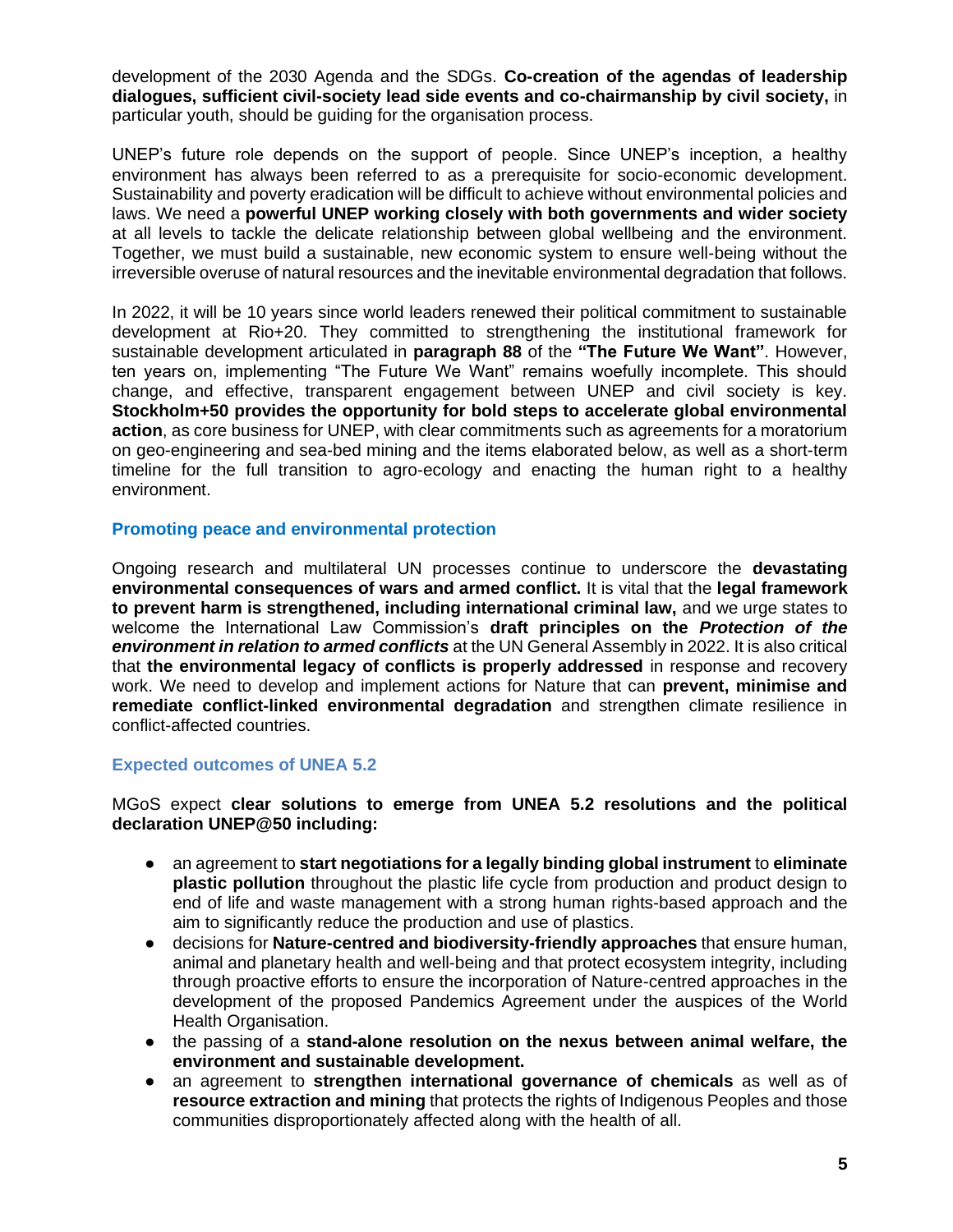development of the 2030 Agenda and the SDGs. **Co-creation of the agendas of leadership dialogues, sufficient civil-society lead side events and co-chairmanship by civil society,** in particular youth, should be guiding for the organisation process.

UNEP's future role depends on the support of people. Since UNEP's inception, a healthy environment has always been referred to as a prerequisite for socio-economic development. Sustainability and poverty eradication will be difficult to achieve without environmental policies and laws. We need a **powerful UNEP working closely with both governments and wider society** at all levels to tackle the delicate relationship between global wellbeing and the environment. Together, we must build a sustainable, new economic system to ensure well-being without the irreversible overuse of natural resources and the inevitable environmental degradation that follows.

In 2022, it will be 10 years since world leaders renewed their political commitment to sustainable development at Rio+20. They committed to strengthening the institutional framework for sustainable development articulated in **paragraph 88** of the **"The Future We Want"**. However, ten years on, implementing "The Future We Want" remains woefully incomplete. This should change, and effective, transparent engagement between UNEP and civil society is key. **Stockholm+50 provides the opportunity for bold steps to accelerate global environmental action**, as core business for UNEP, with clear commitments such as agreements for a moratorium on geo-engineering and sea-bed mining and the items elaborated below, as well as a short-term timeline for the full transition to agro-ecology and enacting the human right to a healthy environment.

#### **Promoting peace and environmental protection**

Ongoing research and multilateral UN processes continue to underscore the **devastating environmental consequences of wars and armed conflict.** It is vital that the **legal framework to prevent harm is strengthened, including international criminal law,** and we urge states to welcome the International Law Commission's **draft principles on the** *Protection of the environment in relation to armed conflicts* at the UN General Assembly in 2022. It is also critical that **the environmental legacy of conflicts is properly addressed** in response and recovery work. We need to develop and implement actions for Nature that can **prevent, minimise and remediate conflict-linked environmental degradation** and strengthen climate resilience in conflict-affected countries.

#### **Expected outcomes of UNEA 5.2**

MGoS expect **clear solutions to emerge from UNEA 5.2 resolutions and the political declaration UNEP@50 including:**

- an agreement to **start negotiations for a legally binding global instrument** to **eliminate plastic pollution** throughout the plastic life cycle from production and product design to end of life and waste management with a strong human rights-based approach and the aim to significantly reduce the production and use of plastics.
- decisions for **Nature-centred and biodiversity-friendly approaches** that ensure human, animal and planetary health and well-being and that protect ecosystem integrity, including through proactive efforts to ensure the incorporation of Nature-centred approaches in the development of the proposed Pandemics Agreement under the auspices of the World Health Organisation.
- the passing of a **stand-alone resolution on the nexus between animal welfare, the environment and sustainable development.**
- an agreement to **strengthen international governance of chemicals** as well as of **resource extraction and mining** that protects the rights of Indigenous Peoples and those communities disproportionately affected along with the health of all.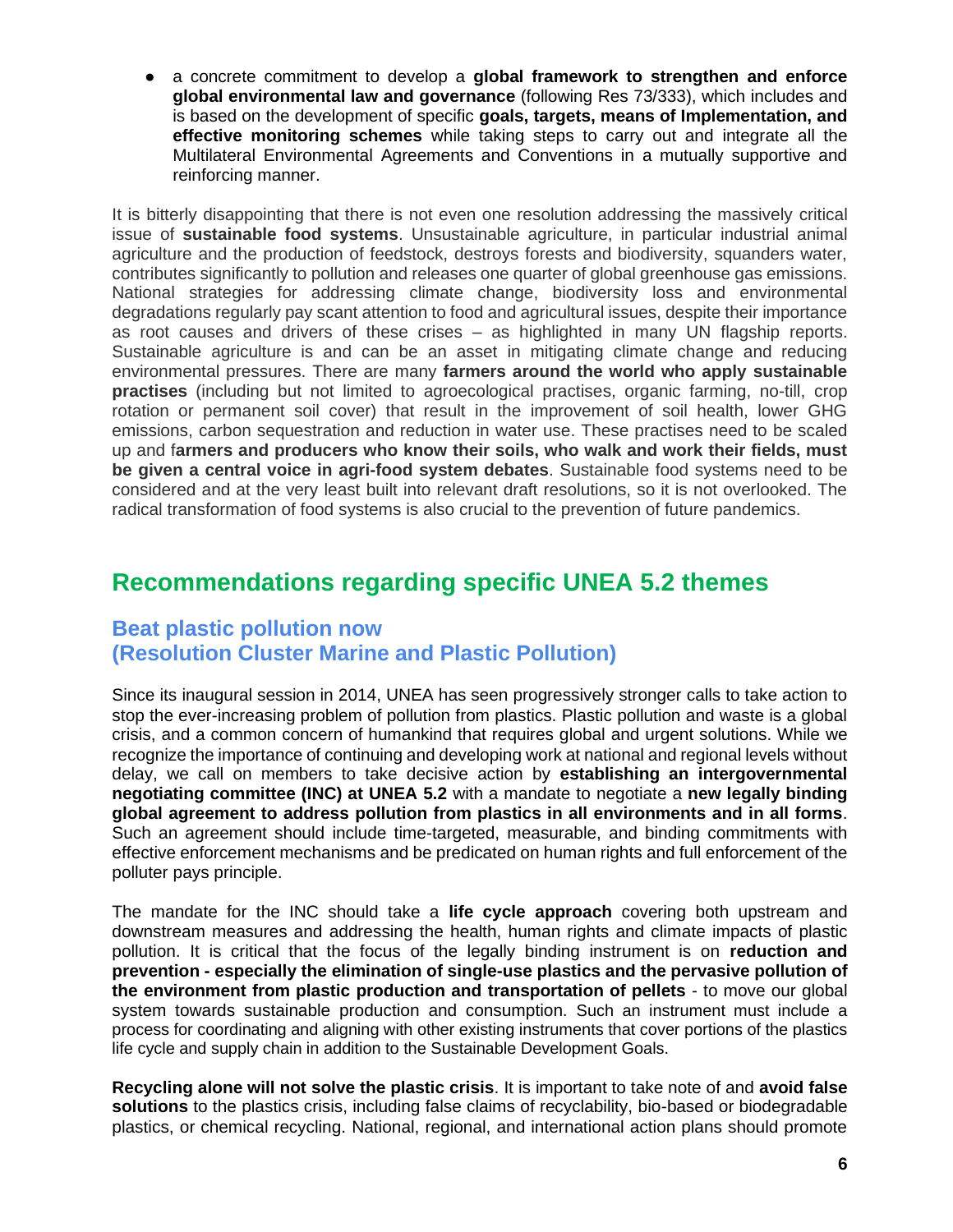● a concrete commitment to develop a **global framework to strengthen and enforce global environmental law and governance** (following Res 73/333), which includes and is based on the development of specific **goals, targets, means of Implementation, and effective monitoring schemes** while taking steps to carry out and integrate all the Multilateral Environmental Agreements and Conventions in a mutually supportive and reinforcing manner.

It is bitterly disappointing that there is not even one resolution addressing the massively critical issue of **sustainable food systems**. Unsustainable agriculture, in particular industrial animal agriculture and the production of feedstock, destroys forests and biodiversity, squanders water, contributes significantly to pollution and releases one quarter of global greenhouse gas emissions. National strategies for addressing climate change, biodiversity loss and environmental degradations regularly pay scant attention to food and agricultural issues, despite their importance as root causes and drivers of these crises – as highlighted in many UN flagship reports. Sustainable agriculture is and can be an asset in mitigating climate change and reducing environmental pressures. There are many **farmers around the world who apply sustainable practises** (including but not limited to agroecological practises, organic farming, no-till, crop rotation or permanent soil cover) that result in the improvement of soil health, lower GHG emissions, carbon sequestration and reduction in water use. These practises need to be scaled up and f**armers and producers who know their soils, who walk and work their fields, must be given a central voice in agri-food system debates**. Sustainable food systems need to be considered and at the very least built into relevant draft resolutions, so it is not overlooked. The radical transformation of food systems is also crucial to the prevention of future pandemics.

## **Recommendations regarding specific UNEA 5.2 themes**

### **Beat plastic pollution now (Resolution Cluster Marine and Plastic Pollution)**

Since its inaugural session in 2014, UNEA has seen progressively stronger calls to take action to stop the ever-increasing problem of pollution from plastics. Plastic pollution and waste is a global crisis, and a common concern of humankind that requires global and urgent solutions. While we recognize the importance of continuing and developing work at national and regional levels without delay, we call on members to take decisive action by **establishing an intergovernmental negotiating committee (INC) at UNEA 5.2** with a mandate to negotiate a **new legally binding global agreement to address pollution from plastics in all environments and in all forms**. Such an agreement should include time-targeted, measurable, and binding commitments with effective enforcement mechanisms and be predicated on human rights and full enforcement of the polluter pays principle.

The mandate for the INC should take a **life cycle approach** covering both upstream and downstream measures and addressing the health, human rights and climate impacts of plastic pollution. It is critical that the focus of the legally binding instrument is on **reduction and prevention - especially the elimination of single-use plastics and the pervasive pollution of the environment from plastic production and transportation of pellets** - to move our global system towards sustainable production and consumption. Such an instrument must include a process for coordinating and aligning with other existing instruments that cover portions of the plastics life cycle and supply chain in addition to the Sustainable Development Goals.

**Recycling alone [will not solve the plastic crisis](https://www.npr.org/2020/09/11/897692090/how-big-oil-misled-the-public-into-believing-plastic-would-be-recycled)**. It is important to take note of and **avoid [false](https://www.greenpeace.org/static/planet4-international-stateless/2019/09/8a1d1791-falsesolutions2019.pdf)  [solutions](https://www.greenpeace.org/static/planet4-international-stateless/2019/09/8a1d1791-falsesolutions2019.pdf)** to the plastics crisis, including false claims of recyclability, bio-based or biodegradable plastics, or chemical recycling. National, regional, and international action plans should promote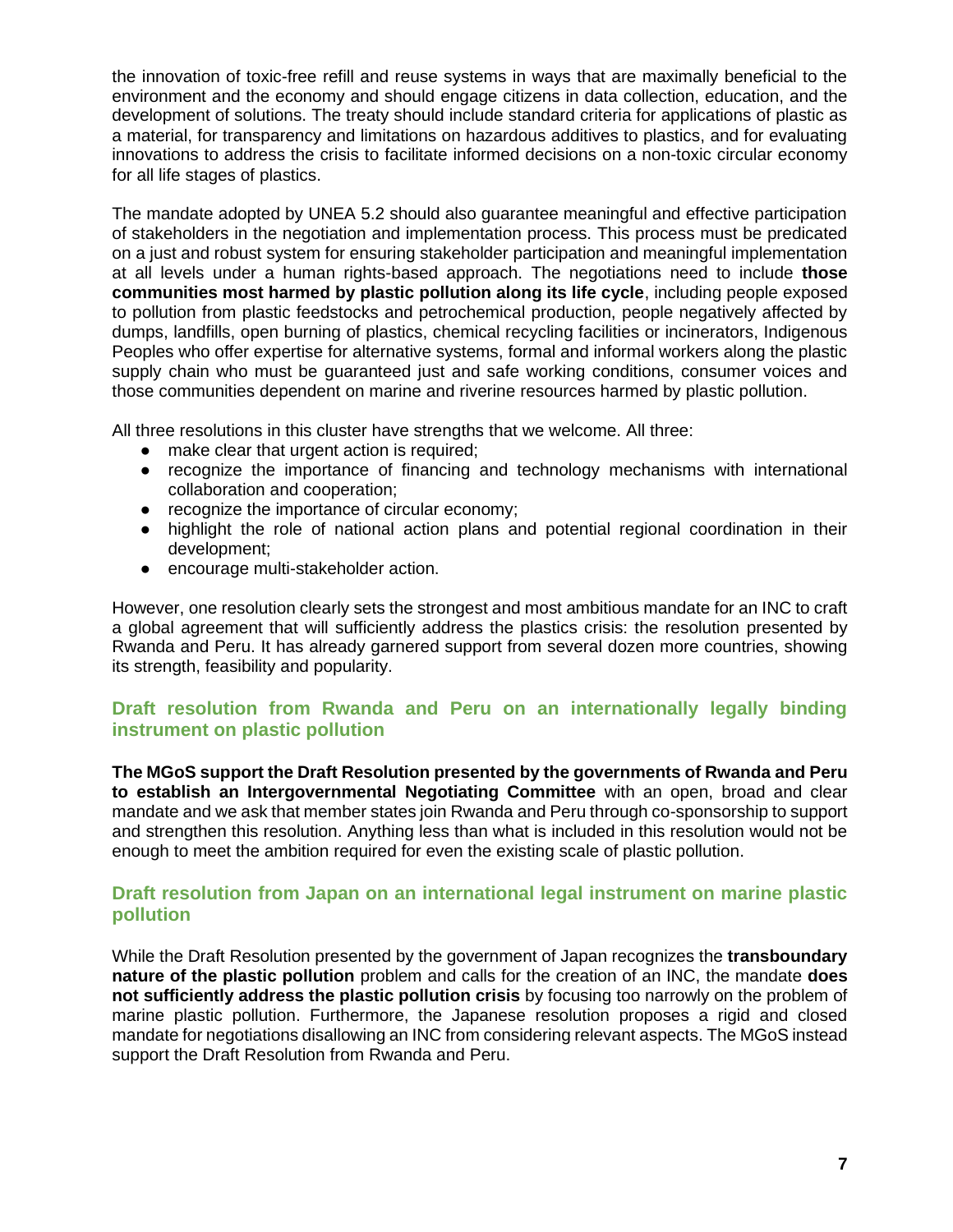the innovation of toxic-free refill and reuse systems in ways that are maximally beneficial to the environment and the economy and should engage citizens in data collection, education, and the development of solutions. The treaty should include standard criteria for applications of plastic as a material, for transparency and limitations on hazardous additives to plastics, and for evaluating innovations to address the crisis to facilitate informed decisions on a non-toxic circular economy for all life stages of plastics.

The mandate adopted by UNEA 5.2 should also guarantee meaningful and effective participation of stakeholders in the negotiation and implementation process. This process must be predicated on a just and robust system for ensuring stakeholder participation and meaningful implementation at all levels under a human rights-based approach. The negotiations need to include **those communities most harmed by plastic pollution along its life cycle**, including people exposed to pollution from plastic feedstocks and petrochemical production, people negatively affected by dumps, landfills, open burning of plastics, chemical recycling facilities or incinerators, Indigenous Peoples who offer expertise for alternative systems, formal and informal workers along the plastic supply chain who must be guaranteed just and safe working conditions, consumer voices and those communities dependent on marine and riverine resources harmed by plastic pollution.

All three resolutions in this cluster have strengths that we welcome. All three:

- make clear that urgent action is required;
- recognize the importance of financing and technology mechanisms with international collaboration and cooperation;
- recognize the importance of circular economy;
- highlight the role of national action plans and potential regional coordination in their development;
- encourage multi-stakeholder action.

However, one resolution clearly sets the strongest and most ambitious mandate for an INC to craft a global agreement that will sufficiently address the plastics crisis: the resolution presented by Rwanda and Peru. It has already garnered support from several dozen more countries, showing its strength, feasibility and popularity.

#### **Draft resolution from Rwanda and Peru on an internationally legally binding instrument on plastic pollution**

**The MGoS support the Draft Resolution presented by the governments of Rwanda and Peru to establish an Intergovernmental Negotiating Committee** with an open, broad and clear mandate and we ask that member states join Rwanda and Peru through co-sponsorship to support and strengthen this resolution. Anything less than what is included in this resolution would not be enough to meet the ambition required for even the existing scale of plastic pollution.

#### **Draft resolution from Japan on an international legal instrument on marine plastic pollution**

While the Draft Resolution presented by the government of Japan recognizes the **transboundary nature of the plastic pollution** problem and calls for the creation of an INC, the mandate **does not sufficiently address the plastic pollution crisis** by focusing too narrowly on the problem of marine plastic pollution. Furthermore, the Japanese resolution proposes a rigid and closed mandate for negotiations disallowing an INC from considering relevant aspects. The MGoS instead support the Draft Resolution from Rwanda and Peru.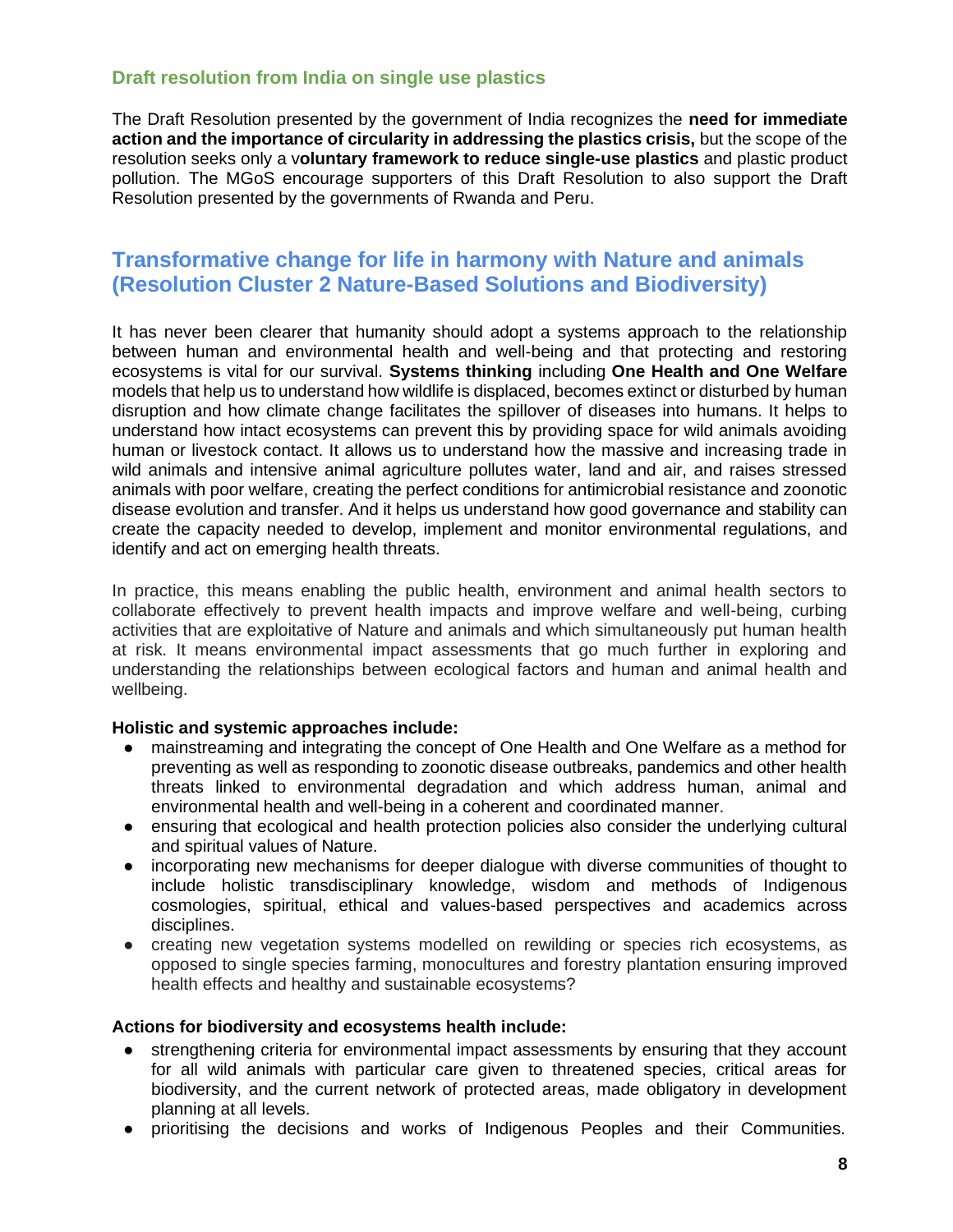#### **Draft resolution from India on single use plastics**

The Draft Resolution presented by the government of India recognizes the **need for immediate action and the importance of circularity in addressing the plastics crisis,** but the scope of the resolution seeks only a v**oluntary framework to reduce single-use plastics** and plastic product pollution. The MGoS encourage supporters of this Draft Resolution to also support the Draft Resolution presented by the governments of Rwanda and Peru.

### **Transformative change for life in harmony with Nature and animals (Resolution Cluster 2 Nature-Based Solutions and Biodiversity)**

It has never been clearer that humanity should adopt a systems approach to the relationship between human and environmental health and well-being and that protecting and restoring ecosystems is vital for our survival. **Systems thinking** including **One Health and One Welfare** models that help us to understand how wildlife is displaced, becomes extinct or disturbed by human disruption and how climate change facilitates the spillover of diseases into humans. It helps to understand how intact ecosystems can prevent this by providing space for wild animals avoiding human or livestock contact. It allows us to understand how the massive and increasing trade in wild animals and intensive animal agriculture pollutes water, land and air, and raises stressed animals with poor welfare, creating the perfect conditions for antimicrobial resistance and zoonotic disease evolution and transfer. And it helps us understand how good governance and stability can create the capacity needed to develop, implement and monitor environmental regulations, and identify and act on emerging health threats.

In practice, this means enabling the public health, environment and animal health sectors to collaborate effectively to prevent health impacts and improve welfare and well-being, curbing activities that are exploitative of Nature and animals and which simultaneously put human health at risk. It means environmental impact assessments that go much further in exploring and understanding the relationships between ecological factors and human and animal health and wellbeing.

#### **Holistic and systemic approaches include:**

- mainstreaming and integrating the concept of One Health and One Welfare as a method for preventing as well as responding to zoonotic disease outbreaks, pandemics and other health threats linked to environmental degradation and which address human, animal and environmental health and well-being in a coherent and coordinated manner.
- ensuring that ecological and health protection policies also consider the underlying cultural and spiritual values of Nature.
- incorporating new mechanisms for deeper dialogue with diverse communities of thought to include holistic transdisciplinary knowledge, wisdom and methods of Indigenous cosmologies, spiritual, ethical and values-based perspectives and academics across disciplines.
- creating new vegetation systems modelled on rewilding or species rich ecosystems, as opposed to single species farming, monocultures and forestry plantation ensuring improved health effects and healthy and sustainable ecosystems?

#### **Actions for biodiversity and ecosystems health include:**

- strengthening criteria for environmental impact assessments by ensuring that they account for all wild animals with particular care given to threatened species, critical areas for biodiversity, and the current network of protected areas, made obligatory in development planning at all levels.
- prioritising the decisions and works of Indigenous Peoples and their Communities.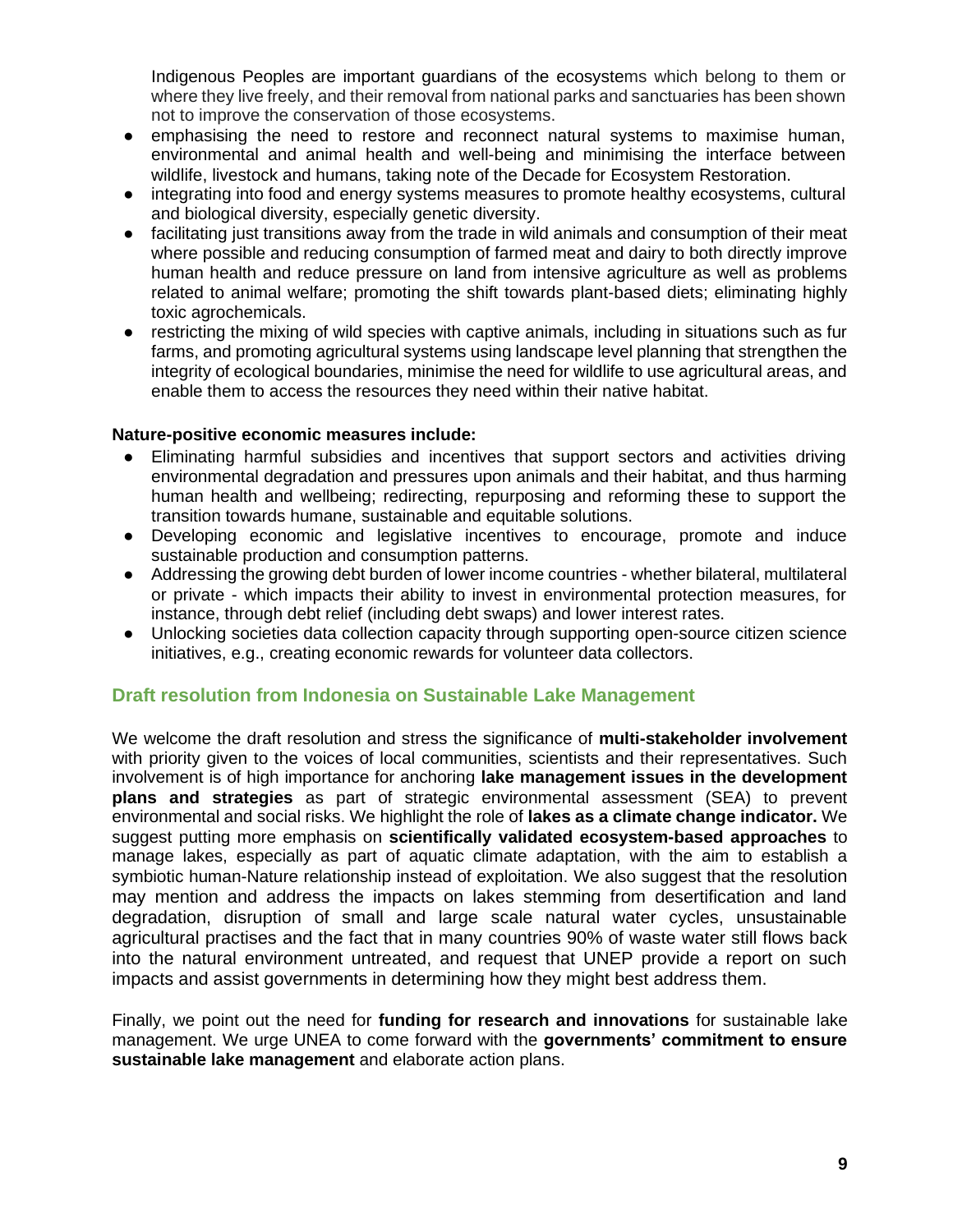Indigenous Peoples are important guardians of the ecosystems which belong to them or where they live freely, and their removal from national parks and sanctuaries has been shown not to improve the conservation of those ecosystems.

- emphasising the need to restore and reconnect natural systems to maximise human, environmental and animal health and well-being and minimising the interface between wildlife, livestock and humans, taking note of the Decade for Ecosystem Restoration.
- integrating into food and energy systems measures to promote healthy ecosystems, cultural and biological diversity, especially genetic diversity.
- facilitating just transitions away from the trade in wild animals and consumption of their meat where possible and reducing consumption of farmed meat and dairy to both directly improve human health and reduce pressure on land from intensive agriculture as well as problems related to animal welfare; promoting the shift towards plant-based diets; eliminating highly toxic agrochemicals.
- restricting the mixing of wild species with captive animals, including in situations such as fur farms, and promoting agricultural systems using landscape level planning that strengthen the integrity of ecological boundaries, minimise the need for wildlife to use agricultural areas, and enable them to access the resources they need within their native habitat.

#### **Nature-positive economic measures include:**

- Eliminating harmful subsidies and incentives that support sectors and activities driving environmental degradation and pressures upon animals and their habitat, and thus harming human health and wellbeing; redirecting, repurposing and reforming these to support the transition towards humane, sustainable and equitable solutions.
- Developing economic and legislative incentives to encourage, promote and induce sustainable production and consumption patterns.
- Addressing the growing debt burden of lower income countries whether bilateral, multilateral or private - which impacts their ability to invest in environmental protection measures, for instance, through debt relief (including debt swaps) and lower interest rates.
- Unlocking societies data collection capacity through supporting open-source citizen science initiatives, e.g., creating economic rewards for volunteer data collectors.

#### **Draft resolution from Indonesia on Sustainable Lake Management**

We welcome the draft resolution and stress the significance of **multi-stakeholder involvement**  with priority given to the voices of local communities, scientists and their representatives. Such involvement is of high importance for anchoring **lake management issues in the development plans and strategies** as part of strategic environmental assessment (SEA) to prevent environmental and social risks. We highlight the role of **lakes as a climate change indicator.** We suggest putting more emphasis on **scientifically validated ecosystem-based approaches** to manage lakes, especially as part of aquatic climate adaptation, with the aim to establish a symbiotic human-Nature relationship instead of exploitation. We also suggest that the resolution may mention and address the impacts on lakes stemming from desertification and land degradation, disruption of small and large scale natural water cycles, unsustainable agricultural practises and the fact that in many countries 90% of waste water still flows back into the natural environment untreated, and request that UNEP provide a report on such impacts and assist governments in determining how they might best address them.

Finally, we point out the need for **funding for research and innovations** for sustainable lake management. We urge UNEA to come forward with the **governments' commitment to ensure sustainable lake management** and elaborate action plans.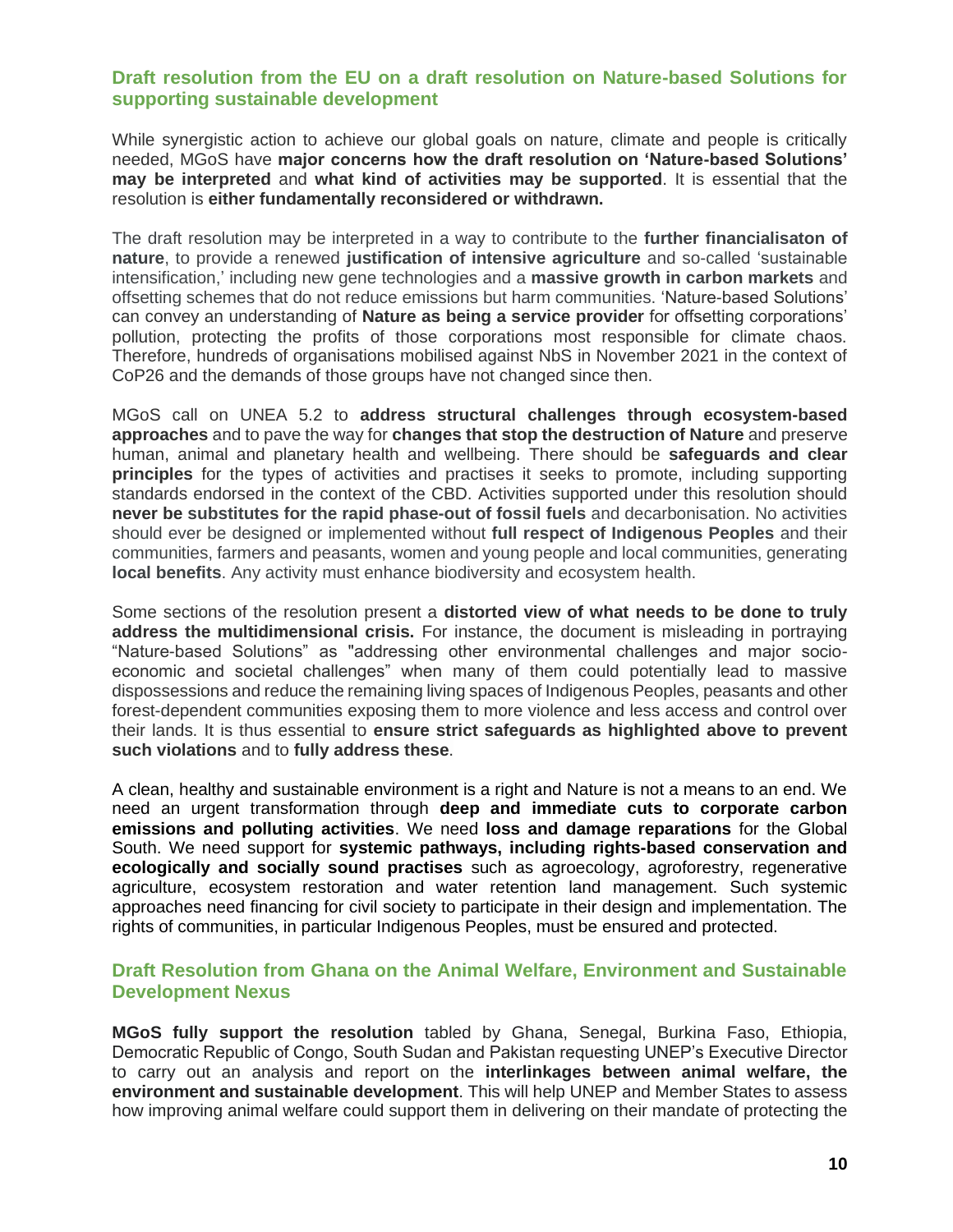#### **Draft resolution from the EU on a draft resolution on Nature-based Solutions for supporting sustainable development**

While synergistic action to achieve our global goals on nature, climate and people is critically needed, MGoS have **major concerns how the draft resolution on 'Nature-based Solutions' may be interpreted** and **what kind of activities may be supported**. It is essential that the resolution is **either fundamentally reconsidered or withdrawn.** 

The draft resolution may be interpreted in a way to contribute to the **further financialisaton of nature**, to provide a renewed **justification of intensive agriculture** and so-called 'sustainable intensification,' including new gene technologies and a **massive growth in carbon markets** and offsetting schemes that do not reduce emissions but harm communities. 'Nature-based Solutions' can convey an understanding of **Nature as being a service provider** for offsetting corporations' pollution, protecting the profits of those corporations most responsible for climate chaos. Therefore, hundreds of organisations mobilised against NbS in November 2021 in the context of CoP26 and the demands of those groups have not changed since then.

MGoS call on UNEA 5.2 to **address structural challenges through ecosystem-based approaches** and to pave the way for **changes that stop the destruction of Nature** and preserve human, animal and planetary health and wellbeing. There should be **safeguards and clear principles** for the types of activities and practises it seeks to promote, including supporting standards endorsed in the context of the CBD. Activities supported under this resolution should **never be substitutes for the rapid phase-out of fossil fuels** and decarbonisation. No activities should ever be designed or implemented without **full respect of Indigenous Peoples** and their communities, farmers and peasants, women and young people and local communities, generating **local benefits**. Any activity must enhance biodiversity and ecosystem health.

Some sections of the resolution present a **distorted view of what needs to be done to truly address the multidimensional crisis.** For instance, the document is misleading in portraying "Nature-based Solutions" as "addressing other environmental challenges and major socioeconomic and societal challenges" when many of them could potentially lead to massive dispossessions and reduce the remaining living spaces of Indigenous Peoples, peasants and other forest-dependent communities exposing them to more violence and less access and control over their lands. It is thus essential to **ensure strict safeguards as highlighted above to prevent such violations** and to **fully address these**.

A clean, healthy and sustainable environment is a right and Nature is not a means to an end. We need an urgent transformation through **deep and immediate cuts to corporate carbon emissions and polluting activities**. We need **loss and damage reparations** for the Global South. We need support for **systemic pathways, including rights-based conservation and ecologically and socially sound practises** such as agroecology, agroforestry, regenerative agriculture, ecosystem restoration and water retention land management. Such systemic approaches need financing for civil society to participate in their design and implementation. The rights of communities, in particular Indigenous Peoples, must be ensured and protected.

#### **Draft Resolution from Ghana on the Animal Welfare, Environment and Sustainable Development Nexus**

**MGoS fully support the resolution** tabled by Ghana, Senegal, Burkina Faso, Ethiopia, Democratic Republic of Congo, South Sudan and Pakistan requesting UNEP's Executive Director to carry out an analysis and report on the **interlinkages between animal welfare, the environment and sustainable development**. This will help UNEP and Member States to assess how improving animal welfare could support them in delivering on their mandate of protecting the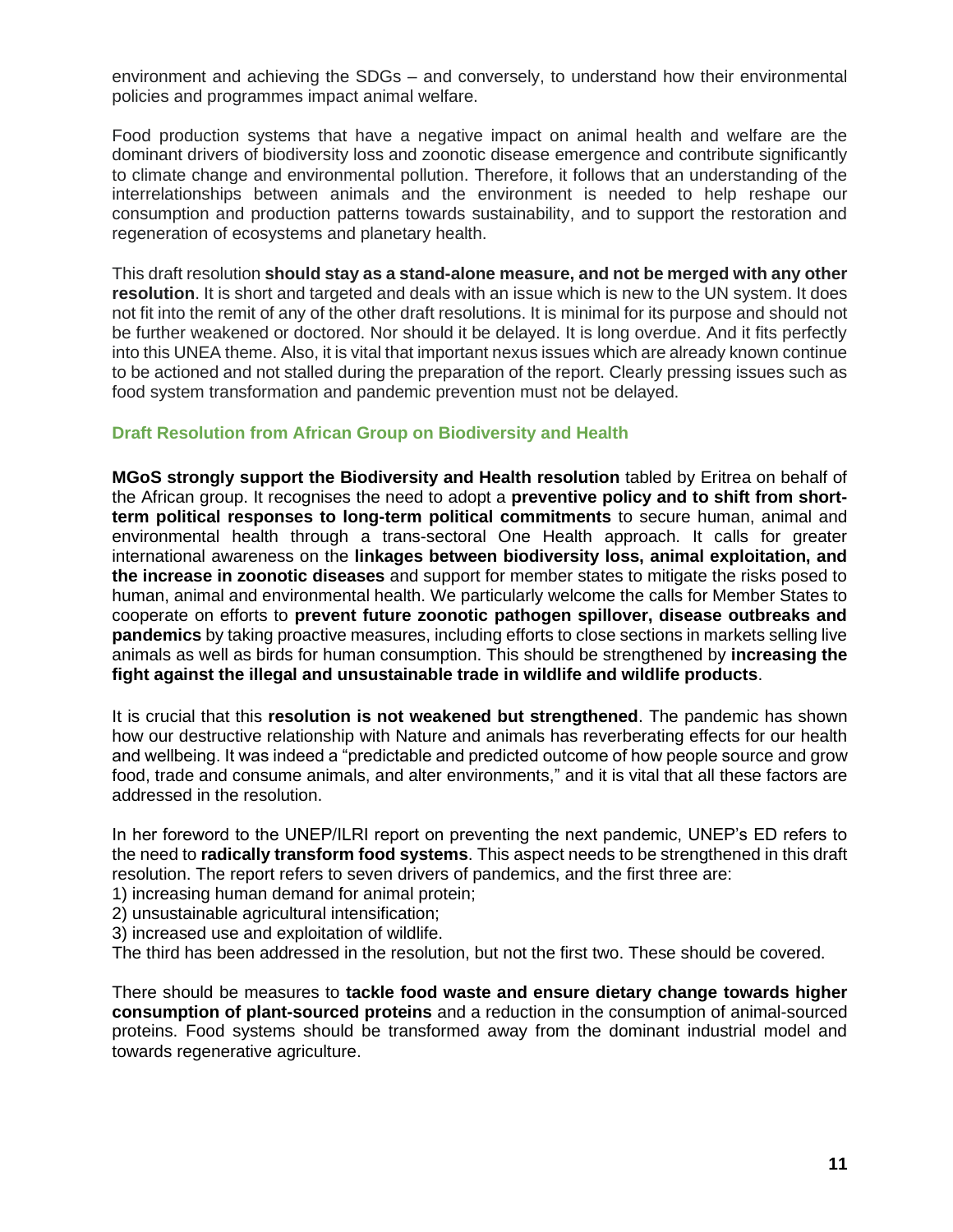environment and achieving the SDGs – and conversely, to understand how their environmental policies and programmes impact animal welfare.

Food production systems that have a negative impact on animal health and welfare are the dominant drivers of biodiversity loss and zoonotic disease emergence and contribute significantly to climate change and environmental pollution. Therefore, it follows that an understanding of the interrelationships between animals and the environment is needed to help reshape our consumption and production patterns towards sustainability, and to support the restoration and regeneration of ecosystems and planetary health.

This draft resolution **should stay as a stand-alone measure, and not be merged with any other resolution**. It is short and targeted and deals with an issue which is new to the UN system. It does not fit into the remit of any of the other draft resolutions. It is minimal for its purpose and should not be further weakened or doctored. Nor should it be delayed. It is long overdue. And it fits perfectly into this UNEA theme. Also, it is vital that important nexus issues which are already known continue to be actioned and not stalled during the preparation of the report. Clearly pressing issues such as food system transformation and pandemic prevention must not be delayed.

#### **Draft Resolution from African Group on Biodiversity and Health**

**MGoS strongly support the Biodiversity and Health resolution** tabled by Eritrea on behalf of the African group. It recognises the need to adopt a **preventive policy and to shift from shortterm political responses to long-term political commitments** to secure human, animal and environmental health through a trans-sectoral One Health approach. It calls for greater international awareness on the **linkages between biodiversity loss, animal exploitation, and the increase in zoonotic diseases** and support for member states to mitigate the risks posed to human, animal and environmental health. We particularly welcome the calls for Member States to cooperate on efforts to **prevent future zoonotic pathogen spillover, disease outbreaks and pandemics** by taking proactive measures, including efforts to close sections in markets selling live animals as well as birds for human consumption. This should be strengthened by **increasing the fight against the illegal and unsustainable trade in wildlife and wildlife products**.

It is crucial that this **resolution is not weakened but strengthened**. The pandemic has shown how our destructive relationship with Nature and animals has reverberating effects for our health and wellbeing. It was indeed a "predictable and predicted outcome of how people source and grow food, trade and consume animals, and alter environments," and it is vital that all these factors are addressed in the resolution.

In her foreword to the UNEP/ILRI report on preventing the next pandemic, UNEP's ED refers to the need to **radically transform food systems**. This aspect needs to be strengthened in this draft resolution. The report refers to seven drivers of pandemics, and the first three are:

- 1) increasing human demand for animal protein;
- 2) unsustainable agricultural intensification;
- 3) increased use and exploitation of wildlife.

The third has been addressed in the resolution, but not the first two. These should be covered.

There should be measures to **tackle food waste and ensure dietary change towards higher consumption of plant-sourced proteins** and a reduction in the consumption of animal-sourced proteins. Food systems should be transformed away from the dominant industrial model and towards regenerative agriculture.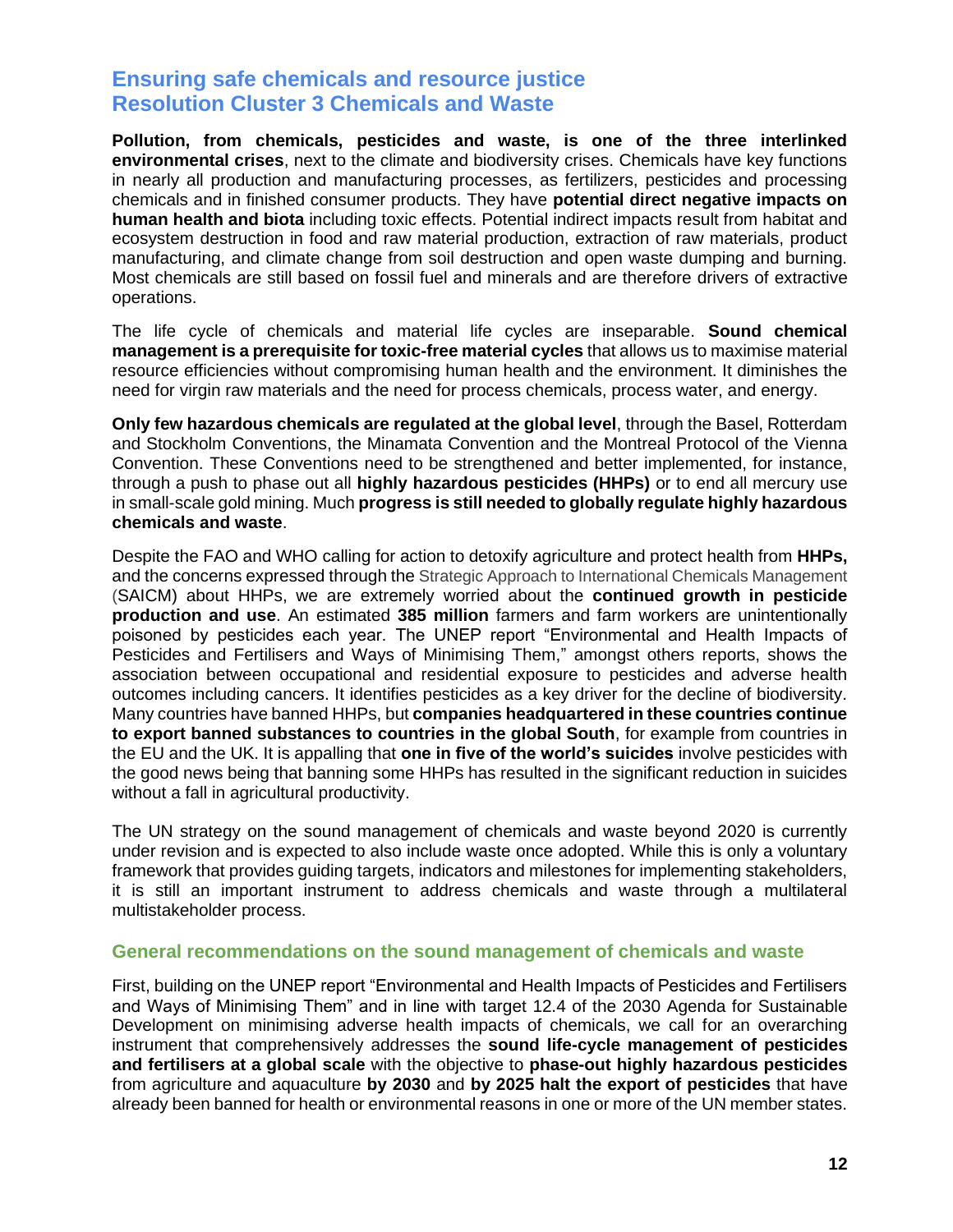### **Ensuring safe chemicals and resource justice Resolution Cluster 3 Chemicals and Waste**

**Pollution, from chemicals, pesticides and waste, is one of the three interlinked environmental crises**, next to the climate and biodiversity crises. Chemicals have key functions in nearly all production and manufacturing processes, as fertilizers, pesticides and processing chemicals and in finished consumer products. They have **potential direct negative impacts on human health and biota** including toxic effects. Potential indirect impacts result from habitat and ecosystem destruction in food and raw material production, extraction of raw materials, product manufacturing, and climate change from soil destruction and open waste dumping and burning. Most chemicals are still based on fossil fuel and minerals and are therefore drivers of extractive operations.

The life cycle of chemicals and material life cycles are inseparable. **Sound chemical management is a prerequisite for toxic-free material cycles** that allows us to maximise material resource efficiencies without compromising human health and the environment. It diminishes the need for virgin raw materials and the need for process chemicals, process water, and energy.

**Only few hazardous chemicals are regulated at the global level**, through the Basel, Rotterdam and Stockholm Conventions, the Minamata Convention and the Montreal Protocol of the Vienna Convention. These Conventions need to be strengthened and better implemented, for instance, through a push to phase out all **highly hazardous pesticides (HHPs)** or to end all mercury use in small-scale gold mining. Much **progress is still needed to globally regulate highly hazardous chemicals and waste**.

Despite the FAO and WHO calling for action to detoxify agriculture and protect health from **HHPs,** and the concerns expressed through the Strategic Approach to International Chemicals Management (SAICM) about HHPs, we are extremely worried about the **continued growth in pesticide production and use**. An estimated **385 million** farmers and farm workers are unintentionally poisoned by pesticides each year. The UNEP report "Environmental and Health Impacts of Pesticides and Fertilisers and Ways of Minimising Them," amongst others reports, shows the association between occupational and residential exposure to pesticides and adverse health outcomes including cancers. It identifies pesticides as a key driver for the decline of biodiversity. Many countries have banned HHPs, but **companies headquartered in these countries continue to export banned substances to countries in the global South**, for example from countries in the EU and the UK. It is appalling that **one in five of the world's suicides** involve pesticides with the good news being that banning some HHPs has resulted in the significant reduction in suicides without a fall in agricultural productivity.

The UN strategy on the sound management of chemicals and waste beyond 2020 is currently under revision and is expected to also include waste once adopted. While this is only a voluntary framework that provides guiding targets, indicators and milestones for implementing stakeholders, it is still an important instrument to address chemicals and waste through a multilateral multistakeholder process.

#### **General recommendations on the sound management of chemicals and waste**

First, building on the UNEP report "Environmental and Health Impacts of Pesticides and Fertilisers and Ways of Minimising Them" and in line with target 12.4 of the 2030 Agenda for Sustainable Development on minimising adverse health impacts of chemicals, we call for an overarching instrument that comprehensively addresses the **sound life-cycle management of pesticides and fertilisers at a global scale** with the objective to **phase-out highly hazardous pesticides** from agriculture and aquaculture **by 2030** and **by 2025 halt the export of pesticides** that have already been banned for health or environmental reasons in one or more of the UN member states.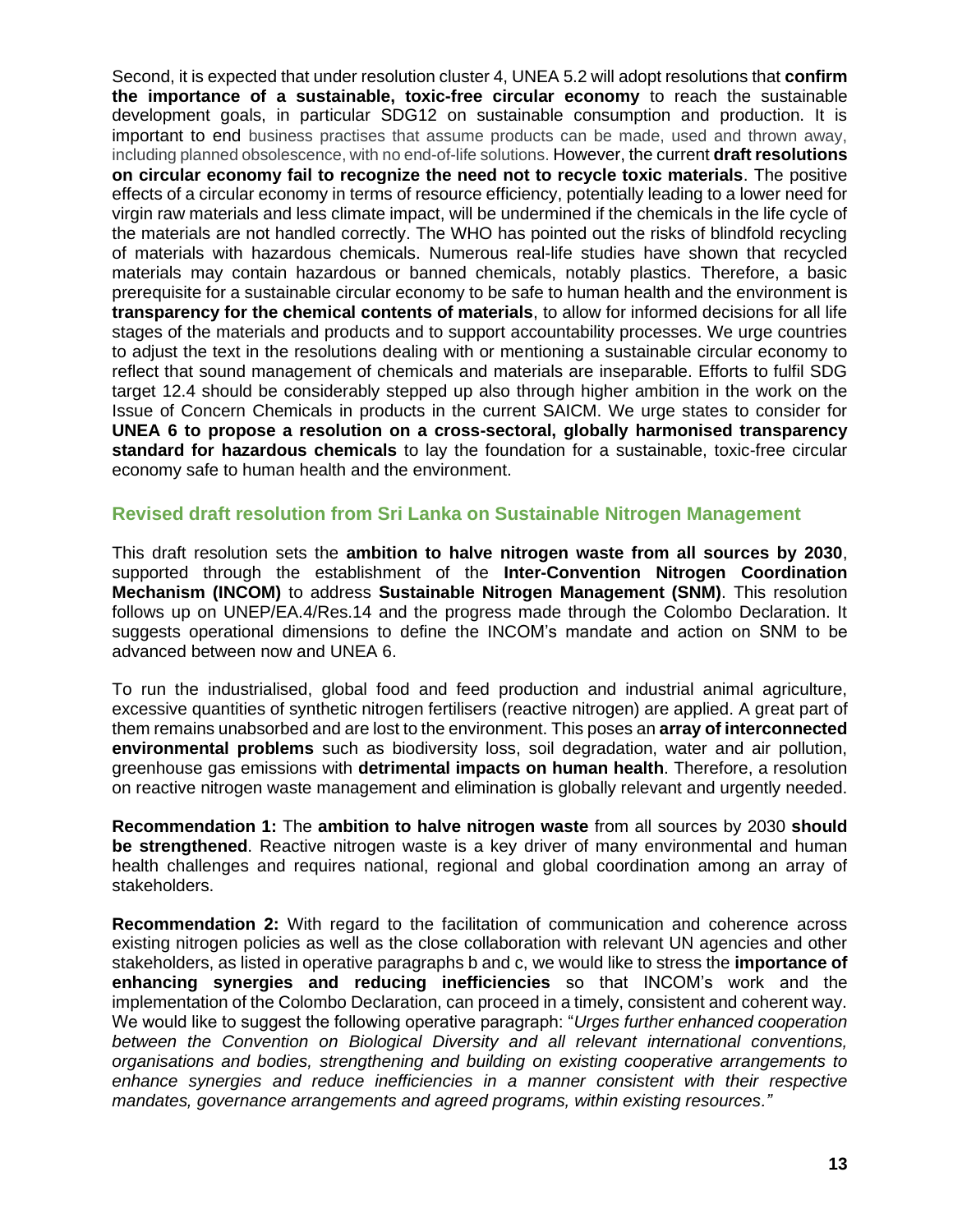Second, it is expected that under resolution cluster 4, UNEA 5.2 will adopt resolutions that **confirm the importance of a sustainable, toxic-free circular economy** to reach the sustainable development goals, in particular SDG12 on sustainable consumption and production. It is important to end business practises that assume products can be made, used and thrown away, including planned obsolescence, with no end-of-life solutions. However, the current **draft resolutions on circular economy fail to recognize the need not to recycle toxic materials**. The positive effects of a circular economy in terms of resource efficiency, potentially leading to a lower need for virgin raw materials and less climate impact, will be undermined if the chemicals in the life cycle of the materials are not handled correctly. The WHO has pointed out the risks of blindfold recycling of materials with hazardous chemicals. Numerous real-life studies have shown that recycled materials may contain hazardous or banned chemicals, notably plastics. Therefore, a basic prerequisite for a sustainable circular economy to be safe to human health and the environment is **transparency for the chemical contents of materials**, to allow for informed decisions for all life stages of the materials and products and to support accountability processes. We urge countries to adjust the text in the resolutions dealing with or mentioning a sustainable circular economy to reflect that sound management of chemicals and materials are inseparable. Efforts to fulfil SDG target 12.4 should be considerably stepped up also through higher ambition in the work on the Issue of Concern Chemicals in products in the current SAICM. We urge states to consider for **UNEA 6 to propose a resolution on a cross-sectoral, globally harmonised transparency standard for hazardous chemicals** to lay the foundation for a sustainable, toxic-free circular economy safe to human health and the environment.

#### **Revised draft resolution from Sri Lanka on Sustainable Nitrogen Management**

This draft resolution sets the **ambition to halve nitrogen waste from all sources by 2030**, supported through the establishment of the **Inter-Convention Nitrogen Coordination Mechanism (INCOM)** to address **Sustainable Nitrogen Management (SNM)**. This resolution follows up on UNEP/EA.4/Res.14 and the progress made through the Colombo Declaration. It suggests operational dimensions to define the INCOM's mandate and action on SNM to be advanced between now and UNEA 6.

To run the industrialised, global food and feed production and industrial animal agriculture, excessive quantities of synthetic nitrogen fertilisers (reactive nitrogen) are applied. A great part of them remains unabsorbed and are lost to the environment. This poses an **array of interconnected environmental problems** such as biodiversity loss, soil degradation, water and air pollution, greenhouse gas emissions with **detrimental impacts on human health**. Therefore, a resolution on reactive nitrogen waste management and elimination is globally relevant and urgently needed.

**Recommendation 1:** The **ambition to halve nitrogen waste** from all sources by 2030 **should be strengthened**. Reactive nitrogen waste is a key driver of many environmental and human health challenges and requires national, regional and global coordination among an array of stakeholders.

**Recommendation 2:** With regard to the facilitation of communication and coherence across existing nitrogen policies as well as the close collaboration with relevant UN agencies and other stakeholders, as listed in operative paragraphs b and c, we would like to stress the **importance of enhancing synergies and reducing inefficiencies** so that INCOM's work and the implementation of the Colombo Declaration, can proceed in a timely, consistent and coherent way. We would like to suggest the following operative paragraph: "*Urges further enhanced cooperation between the Convention on Biological Diversity and all relevant international conventions, organisations and bodies, strengthening and building on existing cooperative arrangements to enhance synergies and reduce inefficiencies in a manner consistent with their respective mandates, governance arrangements and agreed programs, within existing resources."*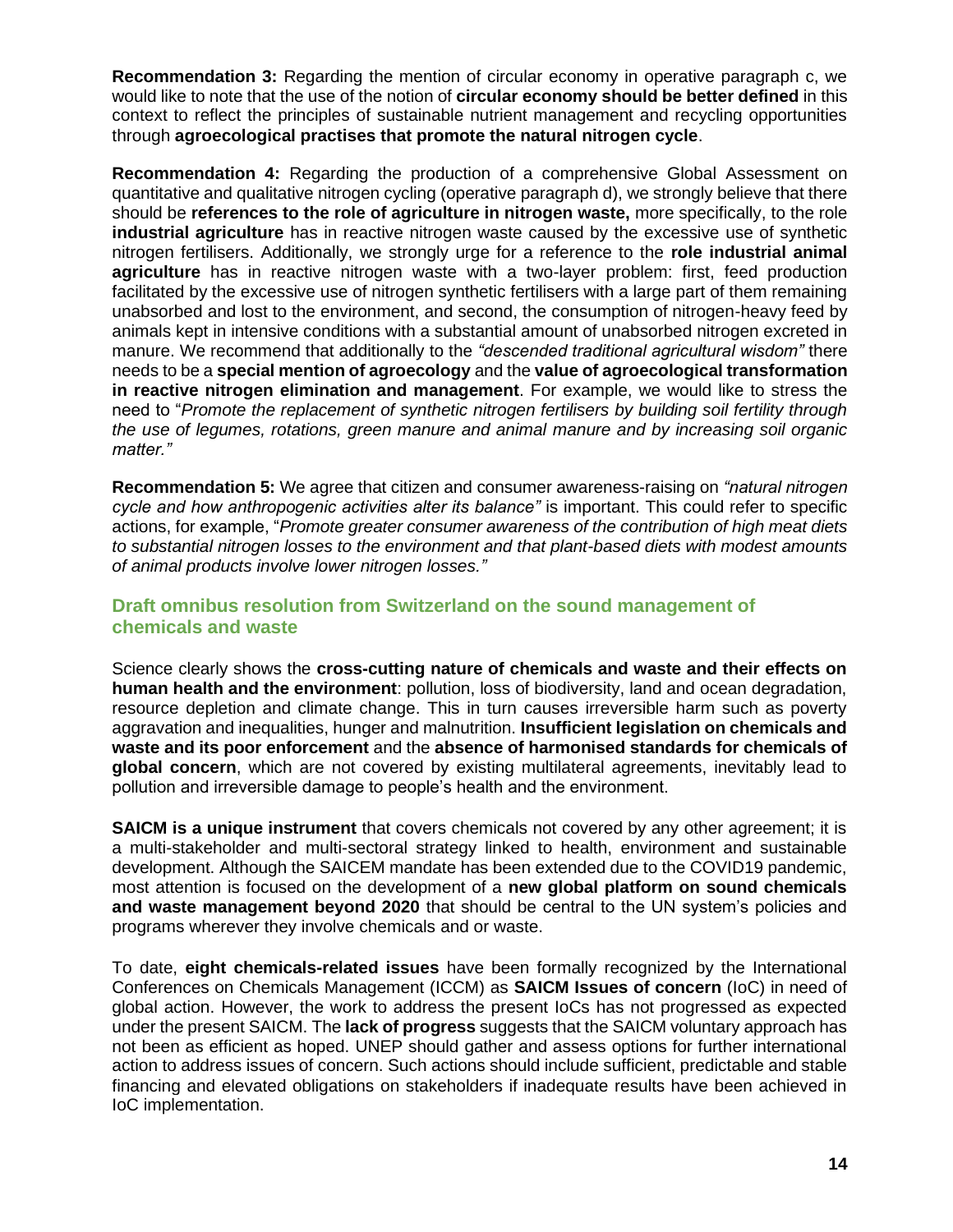**Recommendation 3:** Regarding the mention of circular economy in operative paragraph c, we would like to note that the use of the notion of **circular economy should be better defined** in this context to reflect the principles of sustainable nutrient management and recycling opportunities through **agroecological practises that promote the natural nitrogen cycle**.

**Recommendation 4:** Regarding the production of a comprehensive Global Assessment on quantitative and qualitative nitrogen cycling (operative paragraph d), we strongly believe that there should be **references to the role of agriculture in nitrogen waste,** more specifically, to the role **industrial agriculture** has in reactive nitrogen waste caused by the excessive use of synthetic nitrogen fertilisers. Additionally, we strongly urge for a reference to the **role industrial animal agriculture** has in reactive nitrogen waste with a two-layer problem: first, feed production facilitated by the excessive use of nitrogen synthetic fertilisers with a large part of them remaining unabsorbed and lost to the environment, and second, the consumption of nitrogen-heavy feed by animals kept in intensive conditions with a substantial amount of unabsorbed nitrogen excreted in manure. We recommend that additionally to the *"descended traditional agricultural wisdom"* there needs to be a **special mention of agroecology** and the **value of agroecological transformation in reactive nitrogen elimination and management**. For example, we would like to stress the need to "*Promote the replacement of synthetic nitrogen fertilisers by building soil fertility through the use of legumes, rotations, green manure and animal manure and by increasing soil organic matter."*

**Recommendation 5:** We agree that citizen and consumer awareness-raising on *"natural nitrogen cycle and how anthropogenic activities alter its balance"* is important. This could refer to specific actions, for example, "*Promote greater consumer awareness of the contribution of high meat diets to substantial nitrogen losses to the environment and that plant-based diets with modest amounts of animal products involve lower nitrogen losses."*

#### **Draft omnibus resolution from Switzerland on the sound management of chemicals and waste**

Science clearly shows the **cross-cutting nature of chemicals and waste and their effects on human health and the environment**: pollution, loss of biodiversity, land and ocean degradation, resource depletion and climate change. This in turn causes irreversible harm such as poverty aggravation and inequalities, hunger and malnutrition. **Insufficient legislation on chemicals and waste and its poor enforcement** and the **absence of harmonised standards for chemicals of global concern**, which are not covered by existing multilateral agreements, inevitably lead to pollution and irreversible damage to people's health and the environment.

**SAICM is a unique instrument** that covers chemicals not covered by any other agreement; it is a multi-stakeholder and multi-sectoral strategy linked to health, environment and sustainable development. Although the SAICEM mandate has been extended due to the COVID19 pandemic, most attention is focused on the development of a **new global platform on sound chemicals and waste management beyond 2020** that should be central to the UN system's policies and programs wherever they involve chemicals and or waste.

To date, **eight chemicals-related issues** have been formally recognized by the International Conferences on Chemicals Management (ICCM) as **SAICM Issues of concern** (IoC) in need of global action. However, the work to address the present IoCs has not progressed as expected under the present SAICM. The **lack of progress** suggests that the SAICM voluntary approach has not been as efficient as hoped. UNEP should gather and assess options for further international action to address issues of concern. Such actions should include sufficient, predictable and stable financing and elevated obligations on stakeholders if inadequate results have been achieved in IoC implementation.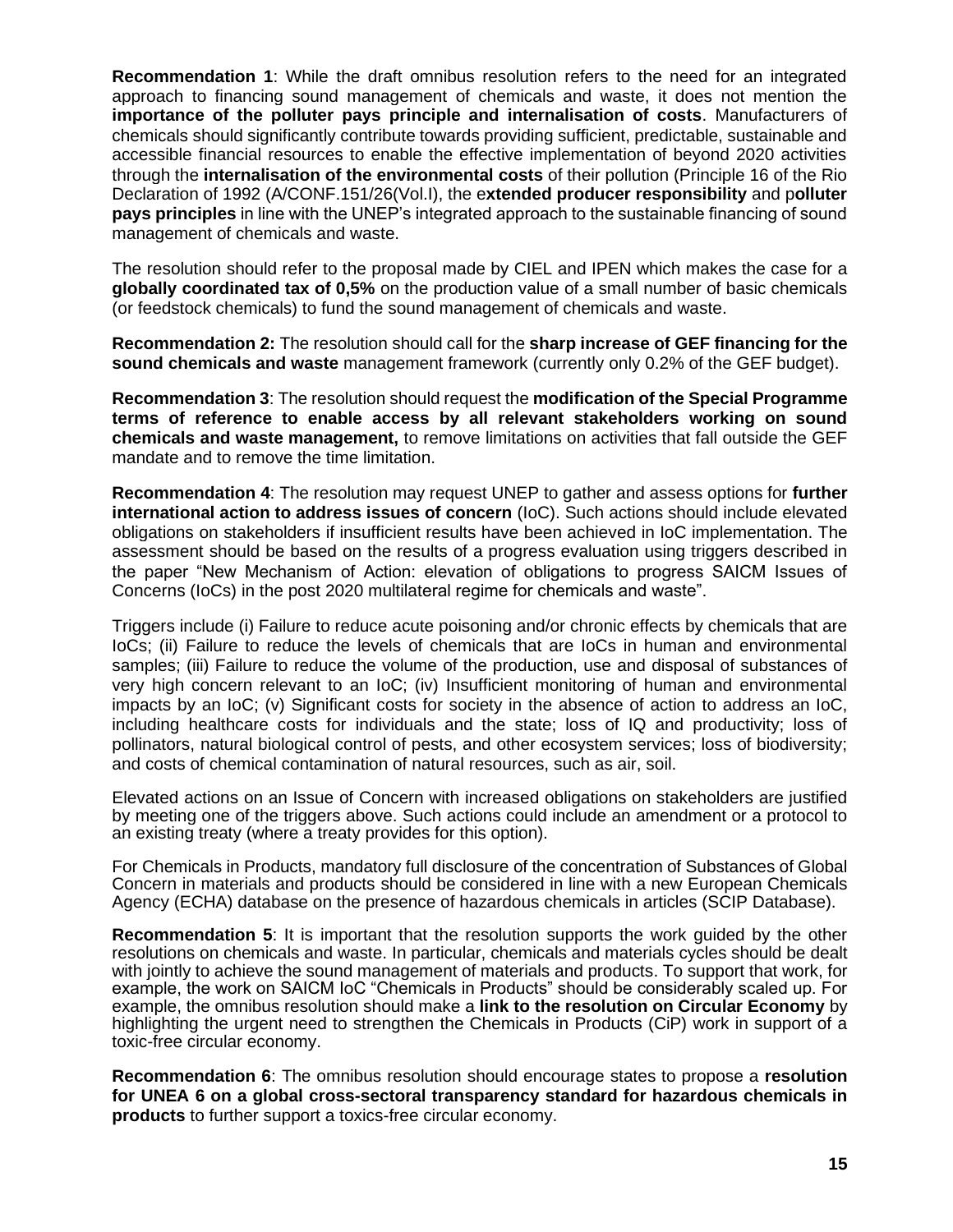**Recommendation 1**: While the draft omnibus resolution refers to the need for an integrated approach to financing sound management of chemicals and waste, it does not mention the **importance of the polluter pays principle and internalisation of costs**. Manufacturers of chemicals should significantly contribute towards providing sufficient, predictable, sustainable and accessible financial resources to enable the effective implementation of beyond 2020 activities through the **internalisation of the environmental costs** of their pollution (Principle 16 of the Rio Declaration of 1992 (A/CONF.151/26(Vol.I), the e**xtended producer responsibility** and p**olluter pays principles** in line with the UNEP's integrated approach to the sustainable financing of sound management of chemicals and waste.

The resolution should refer to the proposal made by CIEL and IPEN which makes the case for a **globally coordinated tax of 0,5%** on the production value of a small number of basic chemicals (or feedstock chemicals) to fund the sound management of chemicals and waste.

**Recommendation 2:** The resolution should call for the **sharp increase of GEF financing for the sound chemicals and waste** management framework (currently only 0.2% of the GEF budget).

**Recommendation 3**: The resolution should request the **modification of the Special Programme terms of reference to enable access by all relevant stakeholders working on sound chemicals and waste management,** to remove limitations on activities that fall outside the GEF mandate and to remove the time limitation.

**Recommendation 4**: The resolution may request UNEP to gather and assess options for **further international action to address issues of concern** (IoC). Such actions should include elevated obligations on stakeholders if insufficient results have been achieved in IoC implementation. The assessment should be based on the results of a progress evaluation using triggers described in the paper "New Mechanism of Action: elevation of obligations to progress SAICM Issues of Concerns (IoCs) in the post 2020 multilateral regime for chemicals and waste".

Triggers include (i) Failure to reduce acute poisoning and/or chronic effects by chemicals that are IoCs; (ii) Failure to reduce the levels of chemicals that are IoCs in human and environmental samples; (iii) Failure to reduce the volume of the production, use and disposal of substances of very high concern relevant to an IoC; (iv) Insufficient monitoring of human and environmental impacts by an IoC; (v) Significant costs for society in the absence of action to address an IoC, including healthcare costs for individuals and the state; loss of IQ and productivity; loss of pollinators, natural biological control of pests, and other ecosystem services; loss of biodiversity; and costs of chemical contamination of natural resources, such as air, soil.

Elevated actions on an Issue of Concern with increased obligations on stakeholders are justified by meeting one of the triggers above. Such actions could include an amendment or a protocol to an existing treaty (where a treaty provides for this option).

For Chemicals in Products, mandatory full disclosure of the concentration of Substances of Global Concern in materials and products should be considered in line with a new European Chemicals Agency (ECHA) database on the presence of hazardous chemicals in articles (SCIP Database).

**Recommendation 5**: It is important that the resolution supports the work guided by the other resolutions on chemicals and waste. In particular, chemicals and materials cycles should be dealt with jointly to achieve the sound management of materials and products. To support that work, for example, the work on SAICM IoC "Chemicals in Products" should be considerably scaled up. For example, the omnibus resolution should make a **link to the resolution on Circular Economy** by highlighting the urgent need to strengthen the Chemicals in Products (CiP) work in support of a toxic-free circular economy.

**Recommendation 6**: The omnibus resolution should encourage states to propose a **resolution for UNEA 6 on a global cross-sectoral transparency standard for hazardous chemicals in products** to further support a toxics-free circular economy.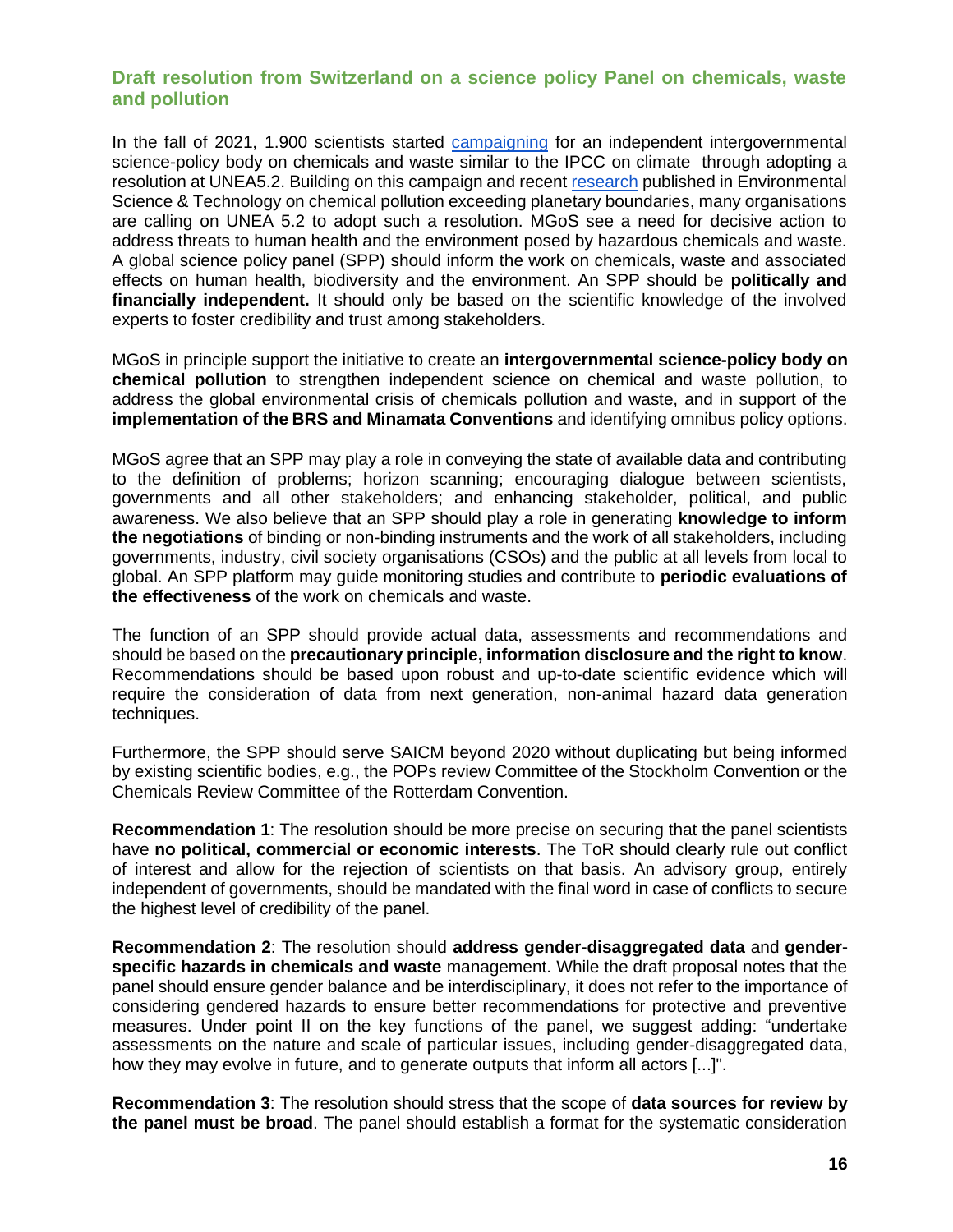#### **Draft resolution from Switzerland on a science policy Panel on chemicals, waste and pollution**

In the fall of 2021, 1.900 scientists started [campaigning](https://docs.google.com/forms/d/e/1FAIpQLScAV5DfUOvrkdevlU-k5ZZ76_A9R8madXJLSZvPqWEOjwOAXQ/viewform) for an independent intergovernmental science-policy body on chemicals and waste similar to the IPCC on climate through adopting a resolution at UNEA5.2. Building on this campaign and recent [research](https://pubs.acs.org/action/showCitFormats?doi=10.1021%2Facs.est.1c04158&href=/doi/10.1021%2Facs.est.1c04158) published in Environmental Science & Technology on chemical pollution exceeding planetary boundaries, many organisations are calling on UNEA 5.2 to adopt such a resolution. MGoS see a need for decisive action to address threats to human health and the environment posed by hazardous chemicals and waste. A global science policy panel (SPP) should inform the work on chemicals, waste and associated effects on human health, biodiversity and the environment. An SPP should be **politically and financially independent.** It should only be based on the scientific knowledge of the involved experts to foster credibility and trust among stakeholders.

MGoS in principle support the initiative to create an **intergovernmental science-policy body on chemical pollution** to strengthen independent science on chemical and waste pollution, to address the global environmental crisis of chemicals pollution and waste, and in support of the **implementation of the BRS and Minamata Conventions** and identifying omnibus policy options.

MGoS agree that an SPP may play a role in conveying the state of available data and contributing to the definition of problems; horizon scanning; encouraging dialogue between scientists, governments and all other stakeholders; and enhancing stakeholder, political, and public awareness. We also believe that an SPP should play a role in generating **knowledge to inform the negotiations** of binding or non-binding instruments and the work of all stakeholders, including governments, industry, civil society organisations (CSOs) and the public at all levels from local to global. An SPP platform may guide monitoring studies and contribute to **periodic evaluations of the effectiveness** of the work on chemicals and waste.

The function of an SPP should provide actual data, assessments and recommendations and should be based on the **precautionary principle, information disclosure and the right to know**. Recommendations should be based upon robust and up-to-date scientific evidence which will require the consideration of data from next generation, non-animal hazard data generation techniques.

Furthermore, the SPP should serve SAICM beyond 2020 without duplicating but being informed by existing scientific bodies, e.g., the POPs review Committee of the Stockholm Convention or the Chemicals Review Committee of the Rotterdam Convention.

**Recommendation 1**: The resolution should be more precise on securing that the panel scientists have **no political, commercial or economic interests**. The ToR should clearly rule out conflict of interest and allow for the rejection of scientists on that basis. An advisory group, entirely independent of governments, should be mandated with the final word in case of conflicts to secure the highest level of credibility of the panel.

**Recommendation 2**: The resolution should **address gender-disaggregated data** and **genderspecific hazards in chemicals and waste** management. While the draft proposal notes that the panel should ensure gender balance and be interdisciplinary, it does not refer to the importance of considering gendered hazards to ensure better recommendations for protective and preventive measures. Under point II on the key functions of the panel, we suggest adding: "undertake assessments on the nature and scale of particular issues, including gender-disaggregated data, how they may evolve in future, and to generate outputs that inform all actors [...]".

**Recommendation 3**: The resolution should stress that the scope of **data sources for review by the panel must be broad**. The panel should establish a format for the systematic consideration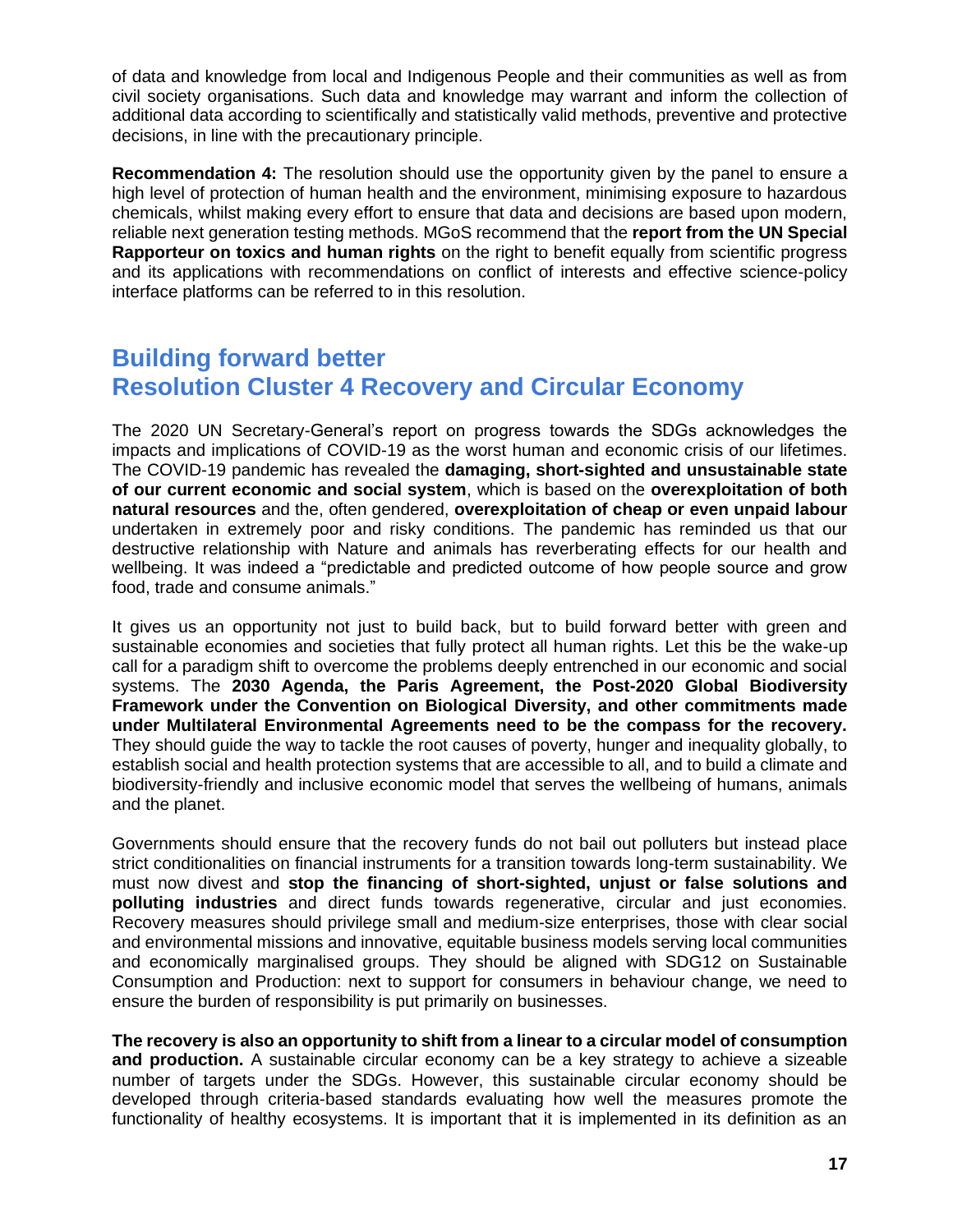of data and knowledge from local and Indigenous People and their communities as well as from civil society organisations. Such data and knowledge may warrant and inform the collection of additional data according to scientifically and statistically valid methods, preventive and protective decisions, in line with the precautionary principle.

**Recommendation 4:** The resolution should use the opportunity given by the panel to ensure a high level of protection of human health and the environment, minimising exposure to hazardous chemicals, whilst making every effort to ensure that data and decisions are based upon modern, reliable next generation testing methods. MGoS recommend that the **report from the UN Special Rapporteur on toxics and human rights** on the right to benefit equally from scientific progress and its applications with recommendations on conflict of interests and effective science-policy interface platforms can be referred to in this resolution.

## **Building forward better Resolution Cluster 4 Recovery and Circular Economy**

The 2020 UN Secretary-General's report on progress towards the SDGs acknowledges the impacts and implications of COVID-19 as the worst human and economic crisis of our lifetimes. The COVID-19 pandemic has revealed the **damaging, short-sighted and unsustainable state of our current economic and social system**, which is based on the **overexploitation of both natural resources** and the, often gendered, **overexploitation of cheap or even unpaid labour** undertaken in extremely poor and risky conditions. The pandemic has reminded us that our destructive relationship with Nature and animals has reverberating effects for our health and wellbeing. It was indeed a "predictable and predicted outcome of how people source and grow food, trade and consume animals."

It gives us an opportunity not just to build back, but to build forward better with green and sustainable economies and societies that fully protect all human rights. Let this be the wake-up call for a paradigm shift to overcome the problems deeply entrenched in our economic and social systems. The **2030 Agenda, the Paris Agreement, the Post-2020 Global Biodiversity Framework under the Convention on Biological Diversity, and other commitments made under Multilateral Environmental Agreements need to be the compass for the recovery.** They should guide the way to tackle the root causes of poverty, hunger and inequality globally, to establish social and health protection systems that are accessible to all, and to build a climate and biodiversity-friendly and inclusive economic model that serves the wellbeing of humans, animals and the planet.

Governments should ensure that the recovery funds do not bail out polluters but instead place strict conditionalities on financial instruments for a transition towards long-term sustainability. We must now divest and **stop the financing of short-sighted, unjust or false solutions and polluting industries** and direct funds towards regenerative, circular and just economies. Recovery measures should privilege small and medium-size enterprises, those with clear social and environmental missions and innovative, equitable business models serving local communities and economically marginalised groups. They should be aligned with SDG12 on Sustainable Consumption and Production: next to support for consumers in behaviour change, we need to ensure the burden of responsibility is put primarily on businesses.

**The recovery is also an opportunity to shift from a linear to a circular model of consumption and production.** A sustainable circular economy can be a key strategy to achieve a sizeable number of targets under the SDGs. However, this sustainable circular economy should be developed through criteria-based standards evaluating how well the measures promote the functionality of healthy ecosystems. It is important that it is implemented in its definition as an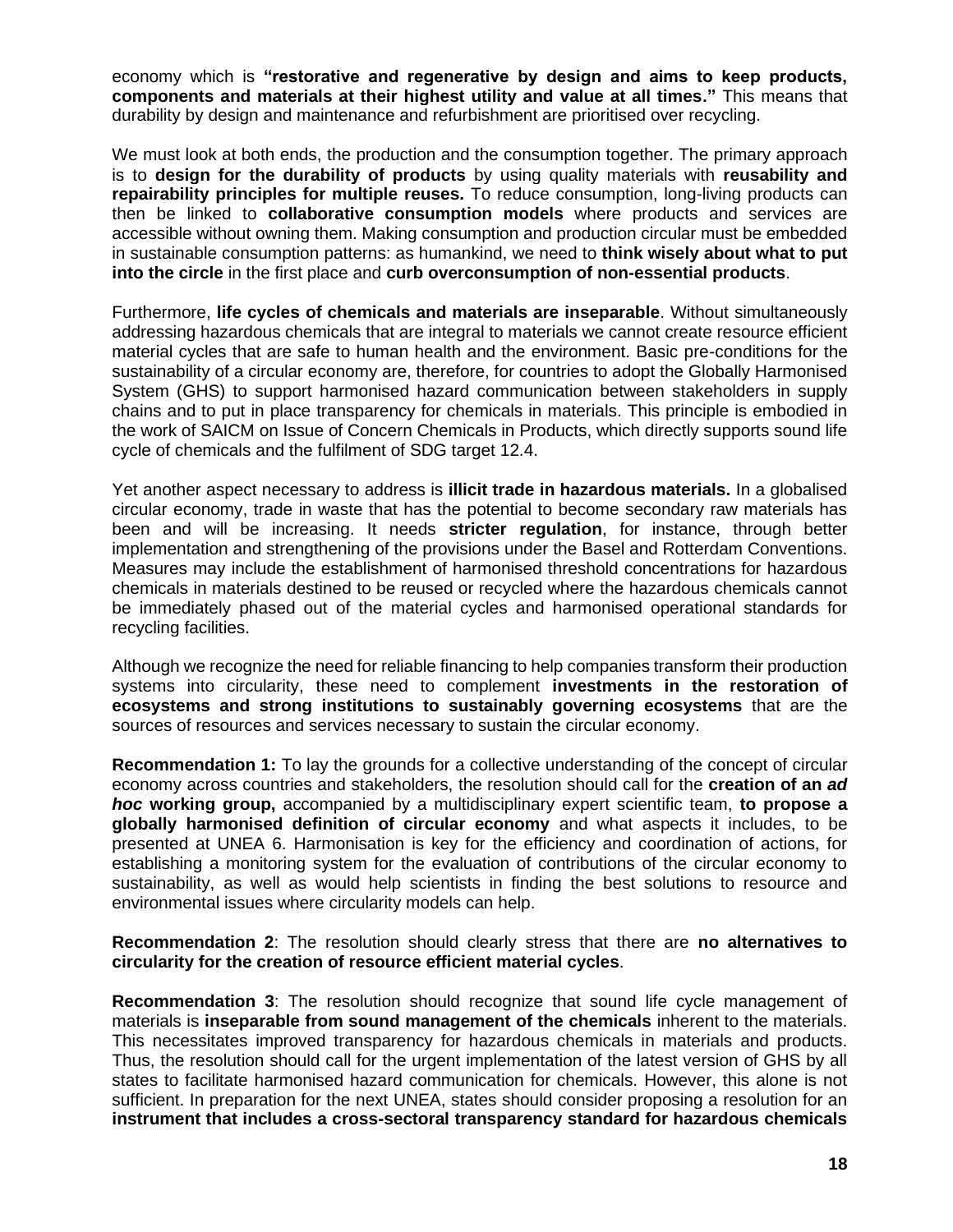economy which is **"restorative and regenerative by design and aims to keep products, components and materials at their highest utility and value at all times."** This means that durability by design and maintenance and refurbishment are prioritised over recycling.

We must look at both ends, the production and the consumption together. The primary approach is to **design for the durability of products** by using quality materials with **reusability and repairability principles for multiple reuses.** To reduce consumption, long-living products can then be linked to **collaborative consumption models** where products and services are accessible without owning them. Making consumption and production circular must be embedded in sustainable consumption patterns: as humankind, we need to **think wisely about what to put into the circle** in the first place and **curb overconsumption of non-essential products**.

Furthermore, **life cycles of chemicals and materials are inseparable**. Without simultaneously addressing hazardous chemicals that are integral to materials we cannot create resource efficient material cycles that are safe to human health and the environment. Basic pre-conditions for the sustainability of a circular economy are, therefore, for countries to adopt the Globally Harmonised System (GHS) to support harmonised hazard communication between stakeholders in supply chains and to put in place transparency for chemicals in materials. This principle is embodied in the work of SAICM on Issue of Concern Chemicals in Products, which directly supports sound life cycle of chemicals and the fulfilment of SDG target 12.4.

Yet another aspect necessary to address is **illicit trade in hazardous materials.** In a globalised circular economy, trade in waste that has the potential to become secondary raw materials has been and will be increasing. It needs **stricter regulation**, for instance, through better implementation and strengthening of the provisions under the Basel and Rotterdam Conventions. Measures may include the establishment of harmonised threshold concentrations for hazardous chemicals in materials destined to be reused or recycled where the hazardous chemicals cannot be immediately phased out of the material cycles and harmonised operational standards for recycling facilities.

Although we recognize the need for reliable financing to help companies transform their production systems into circularity, these need to complement **investments in the restoration of ecosystems and strong institutions to sustainably governing ecosystems** that are the sources of resources and services necessary to sustain the circular economy.

**Recommendation 1:** To lay the grounds for a collective understanding of the concept of circular economy across countries and stakeholders, the resolution should call for the **creation of an** *ad hoc* **working group,** accompanied by a multidisciplinary expert scientific team, **to propose a globally harmonised definition of circular economy** and what aspects it includes, to be presented at UNEA 6. Harmonisation is key for the efficiency and coordination of actions, for establishing a monitoring system for the evaluation of contributions of the circular economy to sustainability, as well as would help scientists in finding the best solutions to resource and environmental issues where circularity models can help.

**Recommendation 2**: The resolution should clearly stress that there are **no alternatives to circularity for the creation of resource efficient material cycles**.

**Recommendation 3**: The resolution should recognize that sound life cycle management of materials is **inseparable from sound management of the chemicals** inherent to the materials. This necessitates improved transparency for hazardous chemicals in materials and products. Thus, the resolution should call for the urgent implementation of the latest version of GHS by all states to facilitate harmonised hazard communication for chemicals. However, this alone is not sufficient. In preparation for the next UNEA, states should consider proposing a resolution for an **instrument that includes a cross-sectoral transparency standard for hazardous chemicals**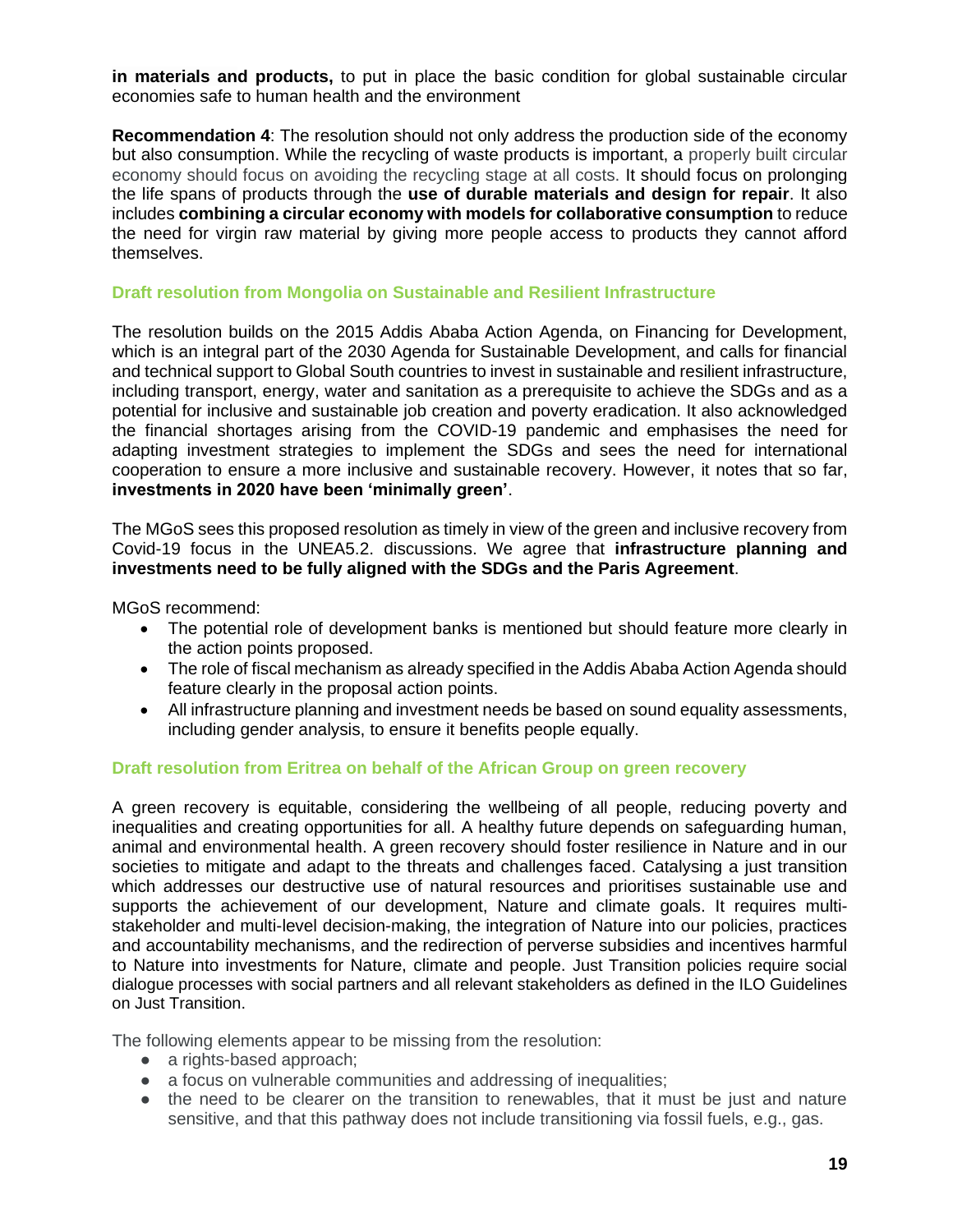**in materials and products,** to put in place the basic condition for global sustainable circular economies safe to human health and the environment

**Recommendation 4**: The resolution should not only address the production side of the economy but also consumption. While the recycling of waste products is important, a properly built circular economy should focus on avoiding the recycling stage at all costs. It should focus on prolonging the life spans of products through the **use of durable materials and design for repair**. It also includes **combining a circular economy with models for collaborative consumption** to reduce the need for virgin raw material by giving more people access to products they cannot afford themselves.

#### **Draft resolution from Mongolia on Sustainable and Resilient Infrastructure**

The resolution builds on the 2015 Addis Ababa Action Agenda, on Financing for Development, which is an integral part of the 2030 Agenda for Sustainable Development, and calls for financial and technical support to Global South countries to invest in sustainable and resilient infrastructure, including transport, energy, water and sanitation as a prerequisite to achieve the SDGs and as a potential for inclusive and sustainable job creation and poverty eradication. It also acknowledged the financial shortages arising from the COVID-19 pandemic and emphasises the need for adapting investment strategies to implement the SDGs and sees the need for international cooperation to ensure a more inclusive and sustainable recovery. However, it notes that so far, **investments in 2020 have been 'minimally green'**.

The MGoS sees this proposed resolution as timely in view of the green and inclusive recovery from Covid-19 focus in the UNEA5.2. discussions. We agree that **infrastructure planning and investments need to be fully aligned with the SDGs and the Paris Agreement**.

MGoS recommend:

- The potential role of development banks is mentioned but should feature more clearly in the action points proposed.
- The role of fiscal mechanism as already specified in the Addis Ababa Action Agenda should feature clearly in the proposal action points.
- All infrastructure planning and investment needs be based on sound equality assessments, including gender analysis, to ensure it benefits people equally.

#### **Draft resolution from Eritrea on behalf of the African Group on green recovery**

A green recovery is equitable, considering the wellbeing of all people, reducing poverty and inequalities and creating opportunities for all. A healthy future depends on safeguarding human, animal and environmental health. A green recovery should foster resilience in Nature and in our societies to mitigate and adapt to the threats and challenges faced. Catalysing a just transition which addresses our destructive use of natural resources and prioritises sustainable use and supports the achievement of our development, Nature and climate goals. It requires multistakeholder and multi-level decision-making, the integration of Nature into our policies, practices and accountability mechanisms, and the redirection of perverse subsidies and incentives harmful to Nature into investments for Nature, climate and people. Just Transition policies require social dialogue processes with social partners and all relevant stakeholders as defined in the ILO Guidelines on Just Transition.

The following elements appear to be missing from the resolution:

- a rights-based approach;
- a focus on vulnerable communities and addressing of inequalities;
- the need to be clearer on the transition to renewables, that it must be just and nature sensitive, and that this pathway does not include transitioning via fossil fuels, e.g., gas.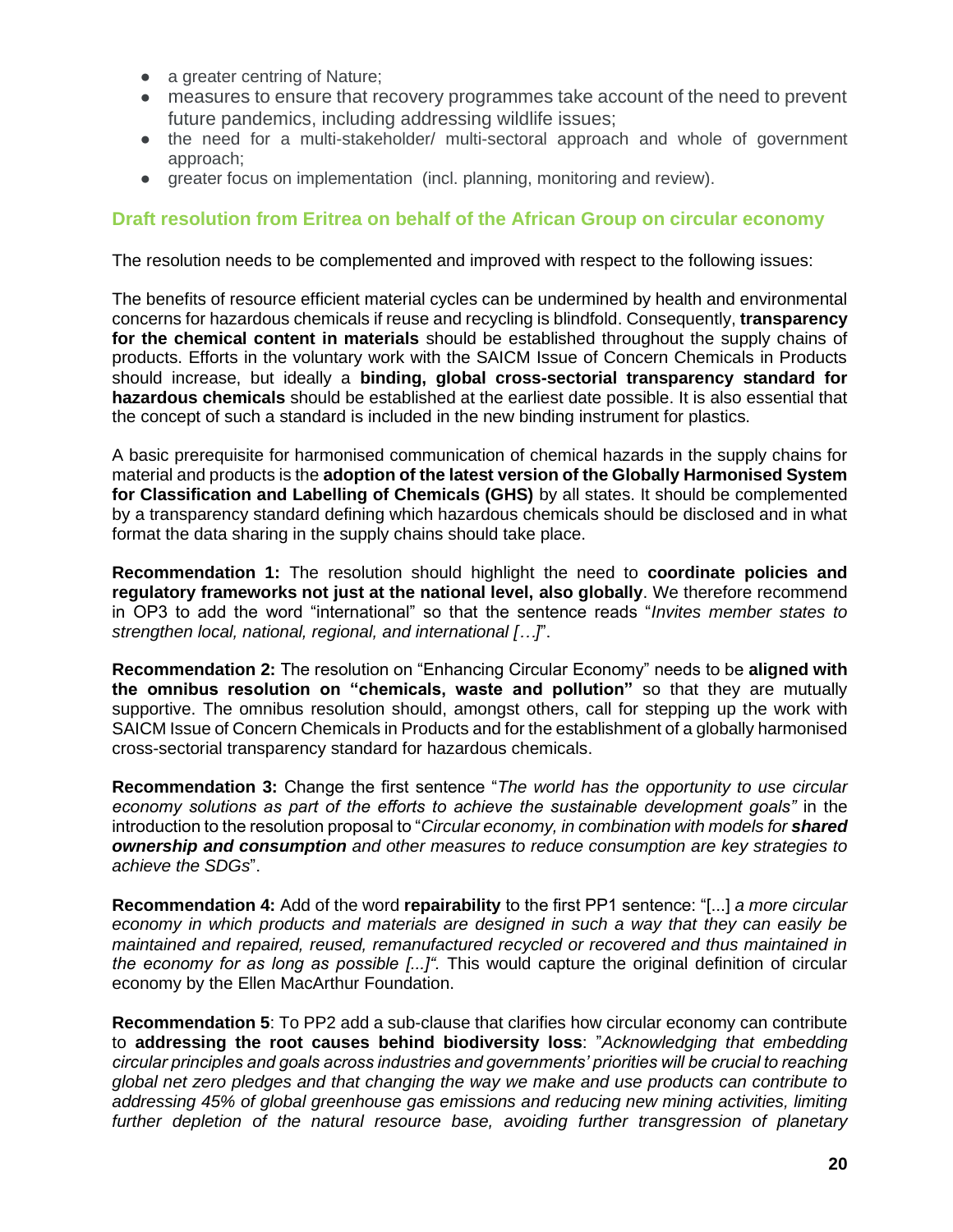- a greater centring of Nature;
- measures to ensure that recovery programmes take account of the need to prevent future pandemics, including addressing wildlife issues;
- the need for a multi-stakeholder/ multi-sectoral approach and whole of government approach;
- greater focus on implementation (incl. planning, monitoring and review).

#### **Draft resolution from Eritrea on behalf of the African Group on circular economy**

The resolution needs to be complemented and improved with respect to the following issues:

The benefits of resource efficient material cycles can be undermined by health and environmental concerns for hazardous chemicals if reuse and recycling is blindfold. Consequently, **transparency for the chemical content in materials** should be established throughout the supply chains of products. Efforts in the voluntary work with the SAICM Issue of Concern Chemicals in Products should increase, but ideally a **binding, global cross-sectorial transparency standard for hazardous chemicals** should be established at the earliest date possible. It is also essential that the concept of such a standard is included in the new binding instrument for plastics.

A basic prerequisite for harmonised communication of chemical hazards in the supply chains for material and products is the **adoption of the latest version of the Globally Harmonised System for Classification and Labelling of Chemicals (GHS)** by all states. It should be complemented by a transparency standard defining which hazardous chemicals should be disclosed and in what format the data sharing in the supply chains should take place.

**Recommendation 1:** The resolution should highlight the need to **coordinate policies and regulatory frameworks not just at the national level, also globally**. We therefore recommend in OP3 to add the word "international" so that the sentence reads "*Invites member states to strengthen local, national, regional, and international […]*".

**Recommendation 2:** The resolution on "Enhancing Circular Economy" needs to be **aligned with the omnibus resolution on "chemicals, waste and pollution"** so that they are mutually supportive. The omnibus resolution should, amongst others, call for stepping up the work with SAICM Issue of Concern Chemicals in Products and for the establishment of a globally harmonised cross-sectorial transparency standard for hazardous chemicals.

**Recommendation 3:** Change the first sentence "*The world has the opportunity to use circular economy solutions as part of the efforts to achieve the sustainable development goals"* in the introduction to the resolution proposal to "*Circular economy, in combination with models for shared ownership and consumption and other measures to reduce consumption are key strategies to achieve the SDGs*".

**Recommendation 4:** Add of the word **repairability** to the first PP1 sentence: "[...] *a more circular economy in which products and materials are designed in such a way that they can easily be maintained and repaired, reused, remanufactured recycled or recovered and thus maintained in the economy for as long as possible [...]".* This would capture the original definition of circular economy by the Ellen MacArthur Foundation.

**Recommendation 5**: To PP2 add a sub-clause that clarifies how circular economy can contribute to **addressing the root causes behind biodiversity loss**: "*Acknowledging that embedding circular principles and goals across industries and governments' priorities will be crucial to reaching global net zero pledges and that changing the way we make and use products can contribute to addressing 45% of global greenhouse gas emissions and reducing new mining activities, limiting*  further depletion of the natural resource base, avoiding further transgression of planetary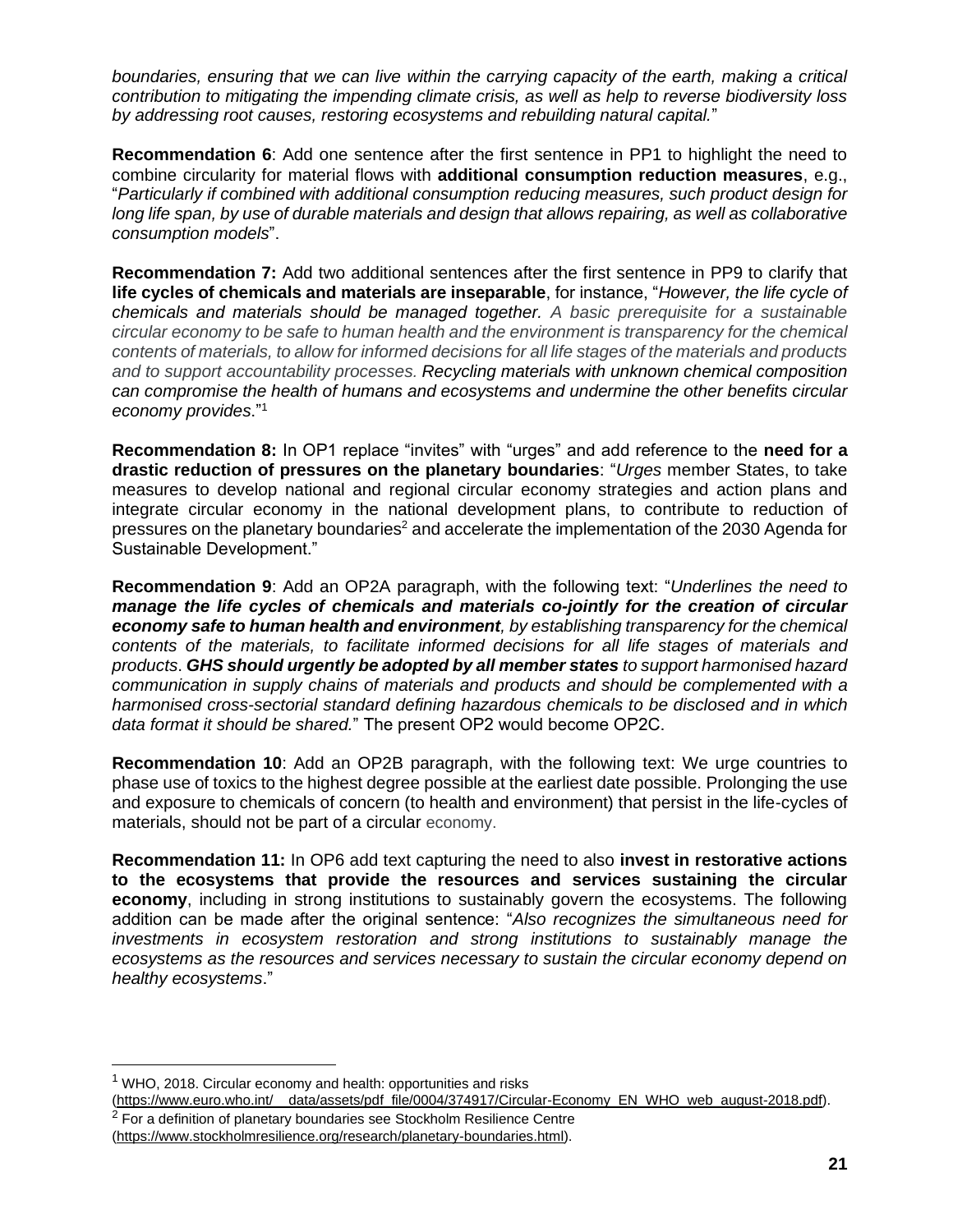*boundaries, ensuring that we can live within the carrying capacity of the earth, making a critical contribution to mitigating the impending climate crisis, as well as help to reverse biodiversity loss by addressing root causes, restoring ecosystems and rebuilding natural capital.*"

**Recommendation 6**: Add one sentence after the first sentence in PP1 to highlight the need to combine circularity for material flows with **additional consumption reduction measures**, e.g., "*Particularly if combined with additional consumption reducing measures, such product design for*  long life span, by use of durable materials and design that allows repairing, as well as collaborative *consumption models*".

**Recommendation 7:** Add two additional sentences after the first sentence in PP9 to clarify that **life cycles of chemicals and materials are inseparable**, for instance, "*However, the life cycle of chemicals and materials should be managed together. A basic prerequisite for a sustainable circular economy to be safe to human health and the environment is transparency for the chemical contents of materials, to allow for informed decisions for all life stages of the materials and products and to support accountability processes. Recycling materials with unknown chemical composition can compromise the health of humans and ecosystems and undermine the other benefits circular economy provides*."<sup>1</sup>

**Recommendation 8:** In OP1 replace "invites" with "urges" and add reference to the **need for a drastic reduction of pressures on the planetary boundaries**: "*Urges* member States, to take measures to develop national and regional circular economy strategies and action plans and integrate circular economy in the national development plans, to contribute to reduction of pressures on the planetary boundaries<sup>2</sup> and accelerate the implementation of the 2030 Agenda for Sustainable Development."

**Recommendation 9**: Add an OP2A paragraph, with the following text: "*Underlines the need to manage the life cycles of chemicals and materials co-jointly for the creation of circular economy safe to human health and environment, by establishing transparency for the chemical contents of the materials, to facilitate informed decisions for all life stages of materials and products*. *GHS should urgently be adopted by all member states to support harmonised hazard communication in supply chains of materials and products and should be complemented with a harmonised cross-sectorial standard defining hazardous chemicals to be disclosed and in which data format it should be shared.*" The present OP2 would become OP2C.

**Recommendation 10**: Add an OP2B paragraph, with the following text: We urge countries to phase use of toxics to the highest degree possible at the earliest date possible. Prolonging the use and exposure to chemicals of concern (to health and environment) that persist in the life-cycles of materials, should not be part of a circular economy.

**Recommendation 11:** In OP6 add text capturing the need to also **invest in restorative actions to the ecosystems that provide the resources and services sustaining the circular economy**, including in strong institutions to sustainably govern the ecosystems. The following addition can be made after the original sentence: "*Also recognizes the simultaneous need for investments in ecosystem restoration and strong institutions to sustainably manage the ecosystems as the resources and services necessary to sustain the circular economy depend on healthy ecosystems*."

 $1$  WHO, 2018. Circular economy and health: opportunities and risks

[<sup>\(</sup>https://www.euro.who.int/\\_\\_data/assets/pdf\\_file/0004/374917/Circular-Economy\\_EN\\_WHO\\_web\\_august-2018.pdf\)](https://www.euro.who.int/__data/assets/pdf_file/0004/374917/Circular-Economy_EN_WHO_web_august-2018.pdf).

 $2$  For a definition of planetary boundaries see Stockholm Resilience Centre [\(https://www.stockholmresilience.org/research/planetary-boundaries.html\)](https://www.stockholmresilience.org/research/planetary-boundaries.html).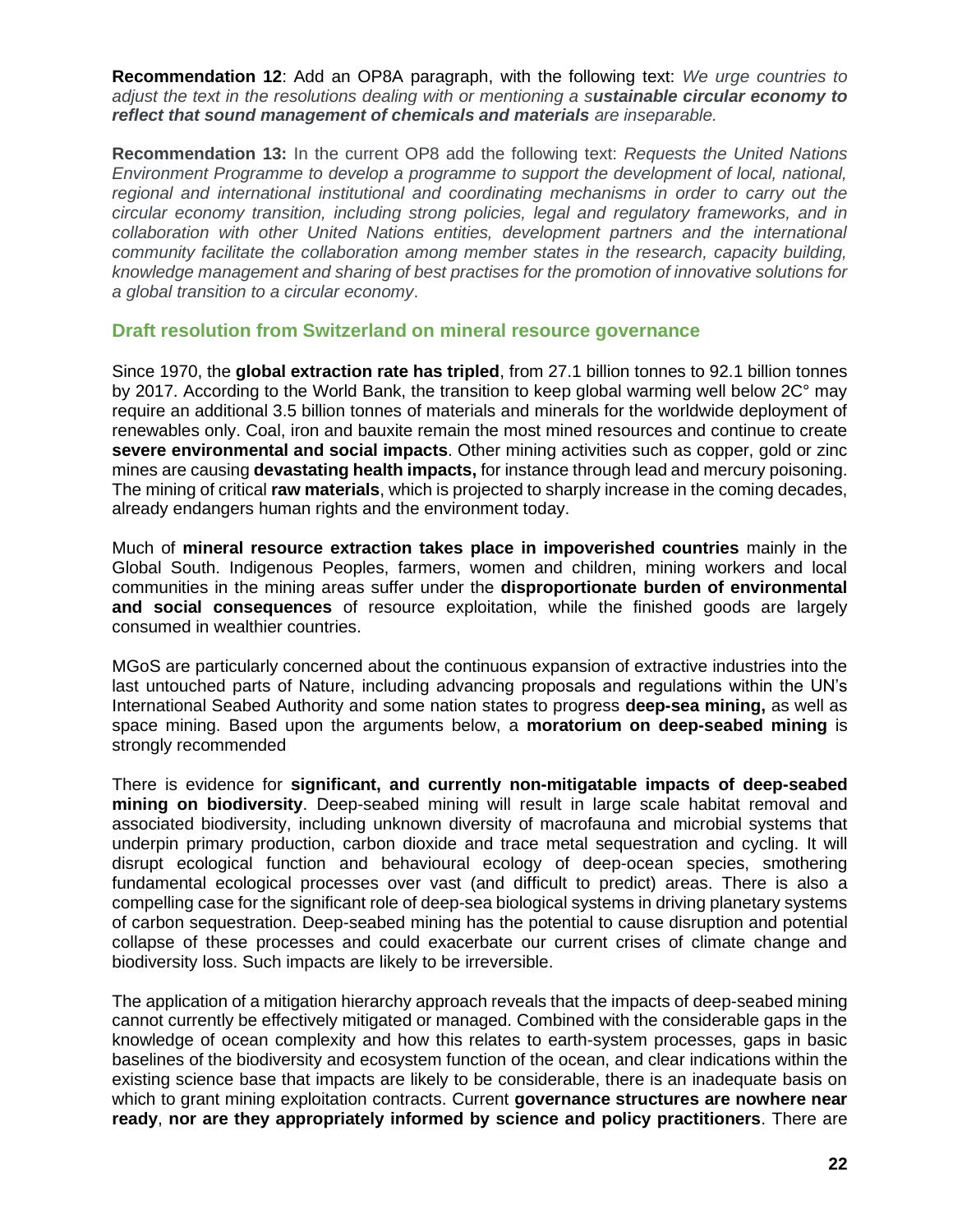**Recommendation 12**: Add an OP8A paragraph, with the following text: *We urge countries to adjust the text in the resolutions dealing with or mentioning a sustainable circular economy to reflect that sound management of chemicals and materials are inseparable.*

**Recommendation 13:** In the current OP8 add the following text: *Requests the United Nations Environment Programme to develop a programme to support the development of local, national, regional and international institutional and coordinating mechanisms in order to carry out the circular economy transition, including strong policies, legal and regulatory frameworks, and in collaboration with other United Nations entities, development partners and the international community facilitate the collaboration among member states in the research, capacity building, knowledge management and sharing of best practises for the promotion of innovative solutions for a global transition to a circular economy*.

#### **Draft resolution from Switzerland on mineral resource governance**

Since 1970, the **global extraction rate has tripled**, from 27.1 billion tonnes to 92.1 billion tonnes by 2017. According to the World Bank, the transition to keep global warming well below 2C° may require an additional 3.5 billion tonnes of materials and minerals for the worldwide deployment of renewables only. Coal, iron and bauxite remain the most mined resources and continue to create **severe environmental and social impacts**. Other mining activities such as copper, gold or zinc mines are causing **devastating health impacts,** for instance through lead and mercury poisoning. The mining of critical **raw materials**, which is projected to sharply increase in the coming decades, already endangers human rights and the environment today.

Much of **mineral resource extraction takes place in impoverished countries** mainly in the Global South. Indigenous Peoples, farmers, women and children, mining workers and local communities in the mining areas suffer under the **disproportionate burden of environmental and social consequences** of resource exploitation, while the finished goods are largely consumed in wealthier countries.

MGoS are particularly concerned about the continuous expansion of extractive industries into the last untouched parts of Nature, including advancing proposals and regulations within the UN's International Seabed Authority and some nation states to progress **deep-sea mining,** as well as space mining. Based upon the arguments below, a **moratorium on deep-seabed mining** is strongly recommended

There is evidence for **significant, and currently non-mitigatable impacts of deep-seabed mining on biodiversity**. Deep-seabed mining will result in large scale habitat removal and associated biodiversity, including unknown diversity of macrofauna and microbial systems that underpin primary production, carbon dioxide and trace metal sequestration and cycling. It will disrupt ecological function and behavioural ecology of deep-ocean species, smothering fundamental ecological processes over vast (and difficult to predict) areas. There is also a compelling case for the significant role of deep-sea biological systems in driving planetary systems of carbon sequestration. Deep-seabed mining has the potential to cause disruption and potential collapse of these processes and could exacerbate our current crises of climate change and biodiversity loss. Such impacts are likely to be irreversible.

The application of a mitigation hierarchy approach reveals that the impacts of deep-seabed mining cannot currently be effectively mitigated or managed. Combined with the considerable gaps in the knowledge of ocean complexity and how this relates to earth-system processes, gaps in basic baselines of the biodiversity and ecosystem function of the ocean, and clear indications within the existing science base that impacts are likely to be considerable, there is an inadequate basis on which to grant mining exploitation contracts. Current **governance structures are nowhere near ready**, **nor are they appropriately informed by science and policy practitioners**. There are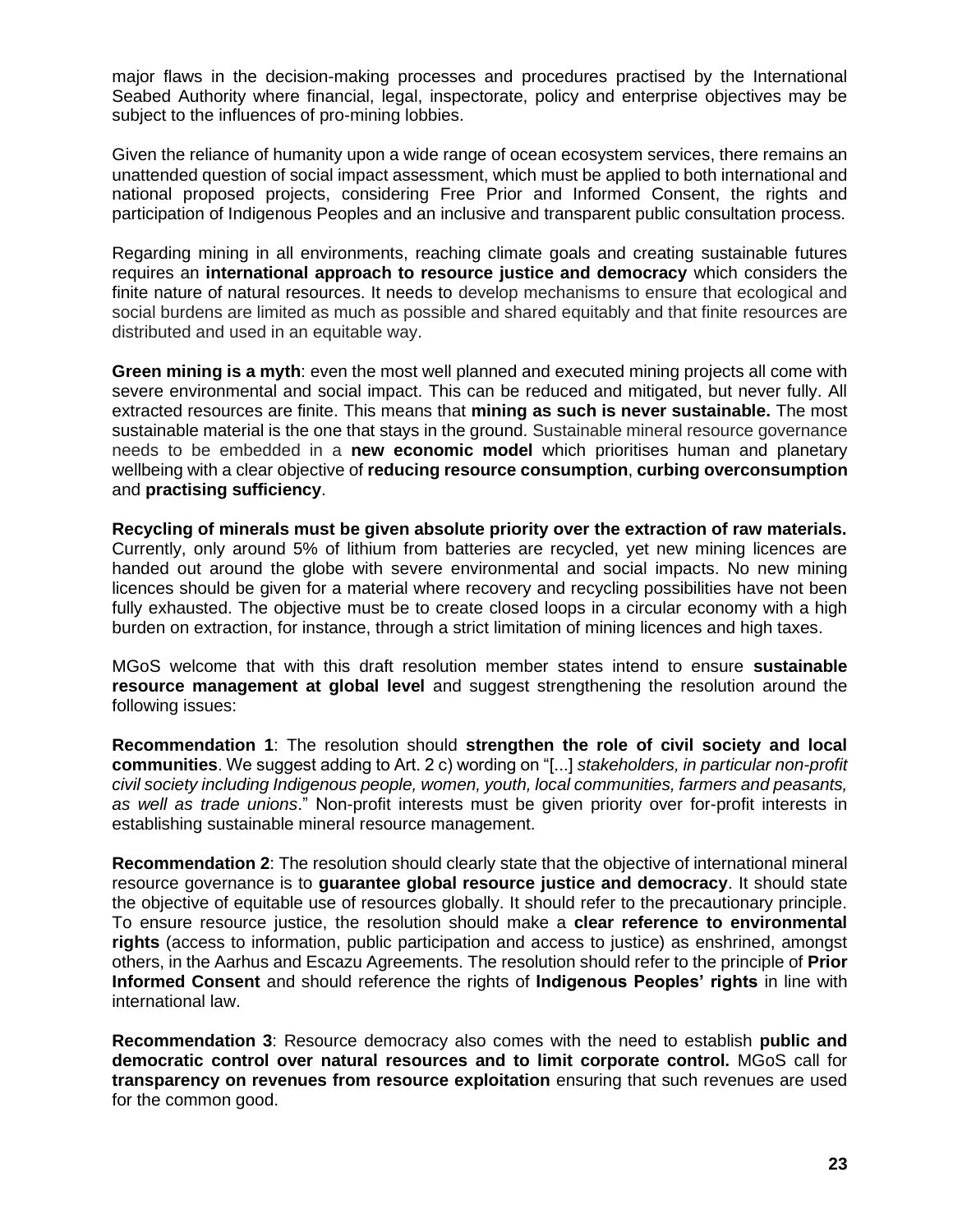major flaws in the decision-making processes and procedures practised by the International Seabed Authority where financial, legal, inspectorate, policy and enterprise objectives may be subject to the influences of pro-mining lobbies.

Given the reliance of humanity upon a wide range of ocean ecosystem services, there remains an unattended question of social impact assessment, which must be applied to both international and national proposed projects, considering Free Prior and Informed Consent, the rights and participation of Indigenous Peoples and an inclusive and transparent public consultation process.

Regarding mining in all environments, reaching climate goals and creating sustainable futures requires an **international approach to resource justice and democracy** which considers the finite nature of natural resources. It needs to develop mechanisms to ensure that ecological and social burdens are limited as much as possible and shared equitably and that finite resources are distributed and used in an equitable way.

**Green mining is a myth**: even the most well planned and executed mining projects all come with severe environmental and social impact. This can be reduced and mitigated, but never fully. All extracted resources are finite. This means that **mining as such is never sustainable.** The most sustainable material is the one that stays in the ground. Sustainable mineral resource governance needs to be embedded in a **new economic model** which prioritises human and planetary wellbeing with a clear objective of **reducing resource consumption**, **curbing overconsumption**  and **practising sufficiency**.

**Recycling of minerals must be given absolute priority over the extraction of raw materials.**  Currently, only around 5% of lithium from batteries are recycled, yet new mining licences are handed out around the globe with severe environmental and social impacts. No new mining licences should be given for a material where recovery and recycling possibilities have not been fully exhausted. The objective must be to create closed loops in a circular economy with a high burden on extraction, for instance, through a strict limitation of mining licences and high taxes.

MGoS welcome that with this draft resolution member states intend to ensure **sustainable resource management at global level** and suggest strengthening the resolution around the following issues:

**Recommendation 1**: The resolution should **strengthen the role of civil society and local communities**. We suggest adding to Art. 2 c) wording on "[...] *stakeholders, in particular non-profit civil society including Indigenous people, women, youth, local communities, farmers and peasants, as well as trade unions*." Non-profit interests must be given priority over for-profit interests in establishing sustainable mineral resource management.

**Recommendation 2**: The resolution should clearly state that the objective of international mineral resource governance is to **guarantee global resource justice and democracy**. It should state the objective of equitable use of resources globally. It should refer to the precautionary principle. To ensure resource justice, the resolution should make a **clear reference to environmental rights** (access to information, public participation and access to justice) as enshrined, amongst others, in the Aarhus and Escazu Agreements. The resolution should refer to the principle of **Prior Informed Consent** and should reference the rights of **Indigenous Peoples' rights** in line with international law.

**Recommendation 3**: Resource democracy also comes with the need to establish **public and democratic control over natural resources and to limit corporate control.** MGoS call for **transparency on revenues from resource exploitation** ensuring that such revenues are used for the common good.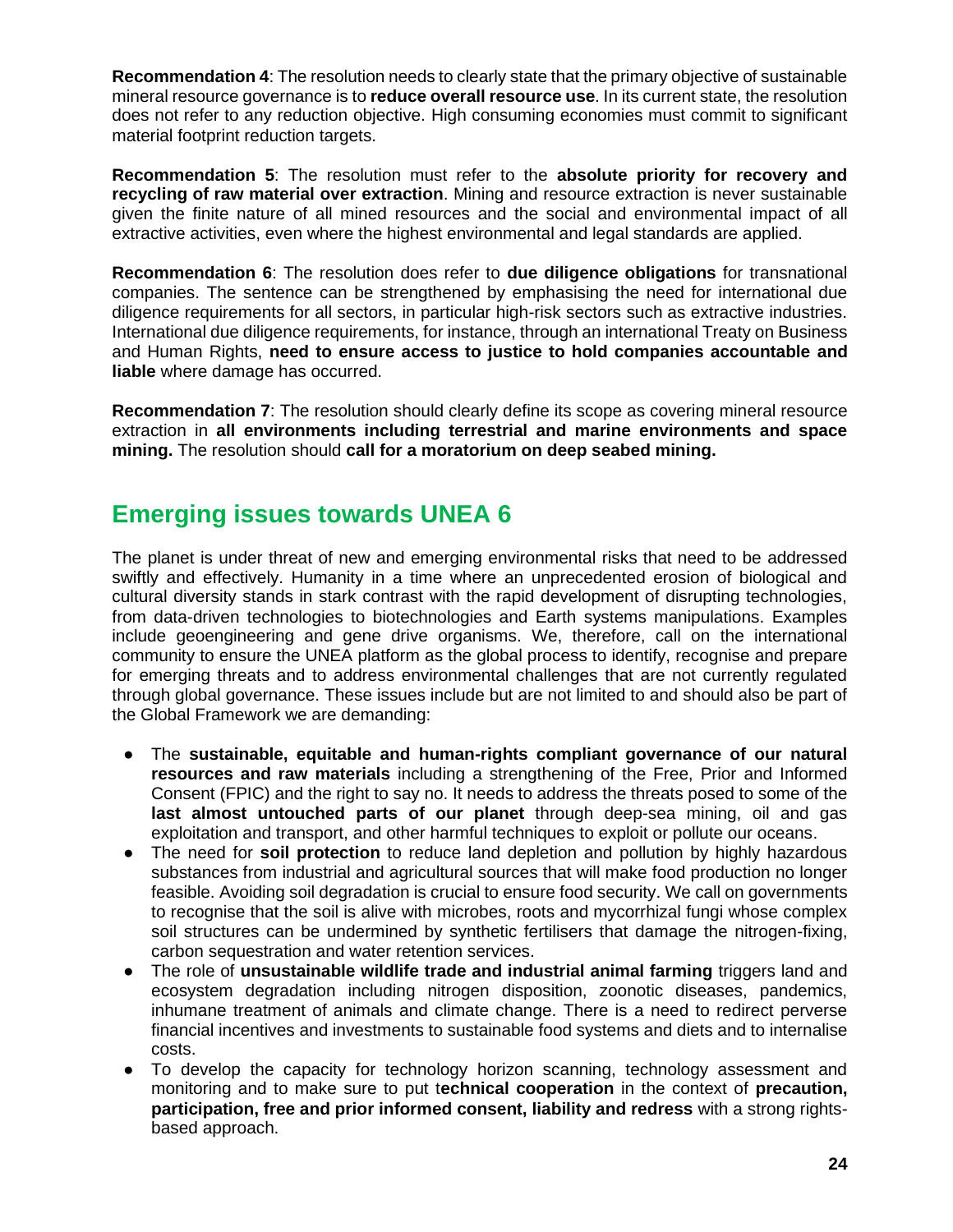**Recommendation 4**: The resolution needs to clearly state that the primary objective of sustainable mineral resource governance is to **reduce overall resource use**. In its current state, the resolution does not refer to any reduction objective. High consuming economies must commit to significant material footprint reduction targets.

**Recommendation 5**: The resolution must refer to the **absolute priority for recovery and recycling of raw material over extraction**. Mining and resource extraction is never sustainable given the finite nature of all mined resources and the social and environmental impact of all extractive activities, even where the highest environmental and legal standards are applied.

**Recommendation 6**: The resolution does refer to **due diligence obligations** for transnational companies. The sentence can be strengthened by emphasising the need for international due diligence requirements for all sectors, in particular high-risk sectors such as extractive industries. International due diligence requirements, for instance, through an international Treaty on Business and Human Rights, **need to ensure access to justice to hold companies accountable and liable** where damage has occurred.

**Recommendation 7**: The resolution should clearly define its scope as covering mineral resource extraction in **all environments including terrestrial and marine environments and space mining.** The resolution should **call for a moratorium on deep seabed mining.**

## **Emerging issues towards UNEA 6**

The planet is under threat of new and emerging environmental risks that need to be addressed swiftly and effectively. Humanity in a time where an unprecedented erosion of biological and cultural diversity stands in stark contrast with the rapid development of disrupting technologies, from data-driven technologies to biotechnologies and Earth systems manipulations. Examples include geoengineering and gene drive organisms. We, therefore, call on the international community to ensure the UNEA platform as the global process to identify, recognise and prepare for emerging threats and to address environmental challenges that are not currently regulated through global governance. These issues include but are not limited to and should also be part of the Global Framework we are demanding:

- The **sustainable, equitable and human-rights compliant governance of our natural resources and raw materials** including a strengthening of the Free, Prior and Informed Consent (FPIC) and the right to say no. It needs to address the threats posed to some of the **last almost untouched parts of our planet** through deep-sea mining, oil and gas exploitation and transport, and other harmful techniques to exploit or pollute our oceans.
- The need for **soil protection** to reduce land depletion and pollution by highly hazardous substances from industrial and agricultural sources that will make food production no longer feasible. Avoiding soil degradation is crucial to ensure food security. We call on governments to recognise that the soil is alive with microbes, roots and mycorrhizal fungi whose complex soil structures can be undermined by synthetic fertilisers that damage the nitrogen-fixing, carbon sequestration and water retention services.
- The role of **unsustainable wildlife trade and industrial animal farming** triggers land and ecosystem degradation including nitrogen disposition, zoonotic diseases, pandemics, inhumane treatment of animals and climate change. There is a need to redirect perverse financial incentives and investments to sustainable food systems and diets and to internalise costs.
- To develop the capacity for technology horizon scanning, technology assessment and monitoring and to make sure to put t**echnical cooperation** in the context of **precaution, participation, free and prior informed consent, liability and redress** with a strong rightsbased approach.